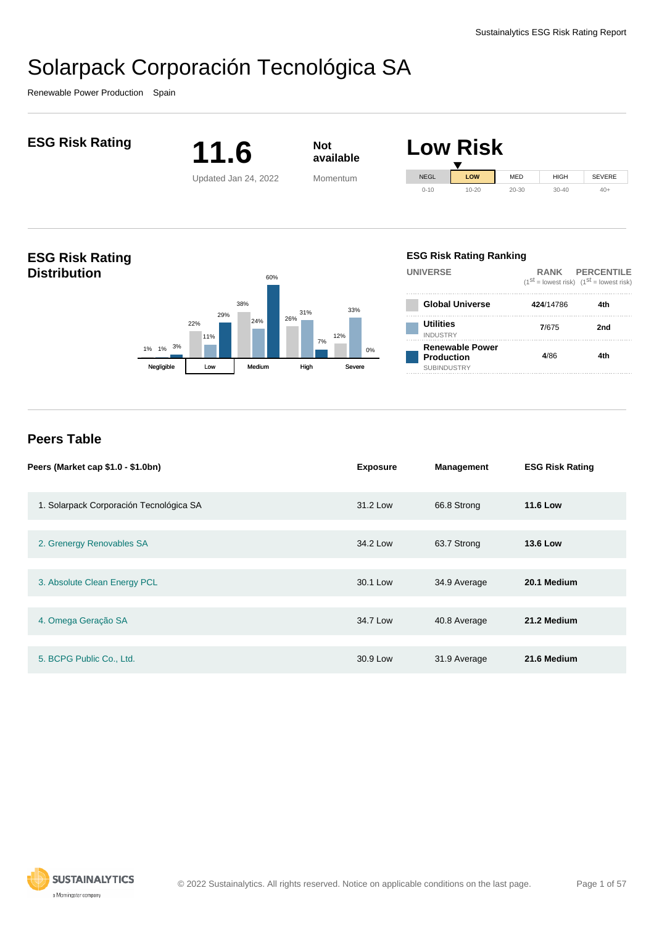Renewable Power Production Spain



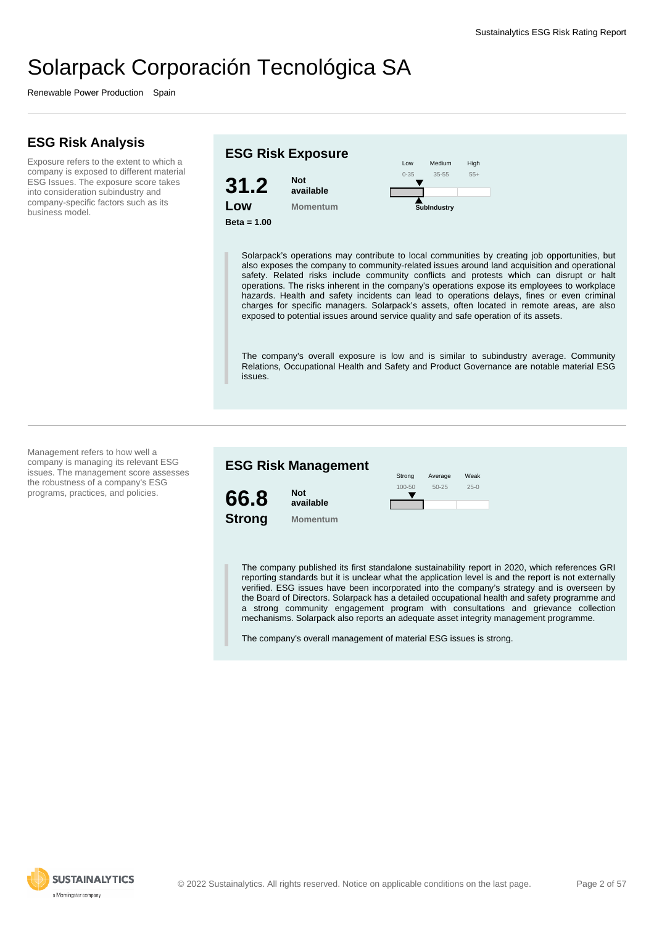Renewable Power Production Spain

#### **ESG Risk Analysis**

Exposure refers to the extent to which a company is exposed to different material ESG Issues. The exposure score takes into consideration subindustry and company-specific factors such as its business model.

#### **ESG Risk Exposure 31.2 Low Beta = 1.00 Not available Momentum** Low 0-35 Medium 35-55 High 55+ **SubIndustry**

Solarpack's operations may contribute to local communities by creating job opportunities, but also exposes the company to community-related issues around land acquisition and operational safety. Related risks include community conflicts and protests which can disrupt or halt operations. The risks inherent in the company's operations expose its employees to workplace hazards. Health and safety incidents can lead to operations delays, fines or even criminal charges for specific managers. Solarpack's assets, often located in remote areas, are also exposed to potential issues around service quality and safe operation of its assets.

The company's overall exposure is low and is similar to subindustry average. Community Relations, Occupational Health and Safety and Product Governance are notable material ESG issues.

Management refers to how well a company is managing its relevant ESG issues. The management score assesses the robustness of a company's ESG programs, practices, and policies.



The company published its first standalone sustainability report in 2020, which references GRI reporting standards but it is unclear what the application level is and the report is not externally verified. ESG issues have been incorporated into the company's strategy and is overseen by the Board of Directors. Solarpack has a detailed occupational health and safety programme and a strong community engagement program with consultations and grievance collection mechanisms. Solarpack also reports an adequate asset integrity management programme.

The company's overall management of material ESG issues is strong.

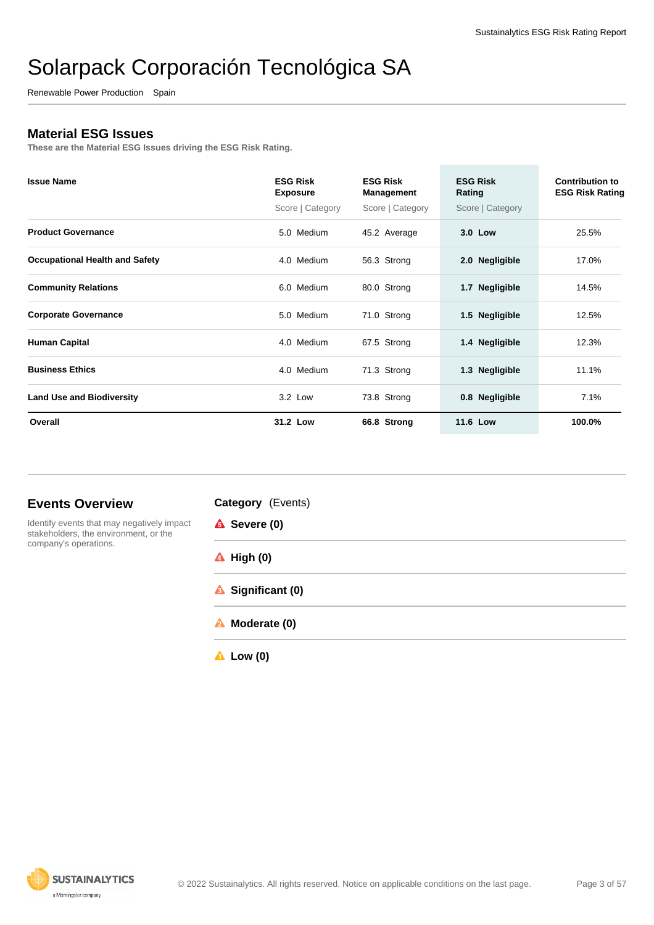Renewable Power Production Spain

#### **Material ESG Issues**

**These are the Material ESG Issues driving the ESG Risk Rating.**

| <b>Issue Name</b>                     | <b>ESG Risk</b><br><b>Exposure</b><br>Score   Category | <b>ESG Risk</b><br>Management<br>Score   Category | <b>ESG Risk</b><br>Rating<br>Score   Category | <b>Contribution to</b><br><b>ESG Risk Rating</b> |
|---------------------------------------|--------------------------------------------------------|---------------------------------------------------|-----------------------------------------------|--------------------------------------------------|
| <b>Product Governance</b>             | 5.0 Medium                                             | 45.2 Average                                      | 3.0 Low                                       | 25.5%                                            |
| <b>Occupational Health and Safety</b> | 4.0 Medium                                             | 56.3 Strong                                       | 2.0 Negligible                                | 17.0%                                            |
| <b>Community Relations</b>            | 6.0 Medium                                             | 80.0 Strong                                       | 1.7 Negligible                                | 14.5%                                            |
| <b>Corporate Governance</b>           | 5.0 Medium                                             | 71.0 Strong                                       | 1.5 Negligible                                | 12.5%                                            |
| <b>Human Capital</b>                  | 4.0 Medium                                             | 67.5 Strong                                       | 1.4 Negligible                                | 12.3%                                            |
| <b>Business Ethics</b>                | 4.0 Medium                                             | 71.3 Strong                                       | 1.3 Negligible                                | 11.1%                                            |
| <b>Land Use and Biodiversity</b>      | 3.2 Low                                                | 73.8 Strong                                       | 0.8 Negligible                                | 7.1%                                             |
| Overall                               | 31.2 Low                                               | 66.8 Strong                                       | <b>11.6 Low</b>                               | 100.0%                                           |

#### **Events Overview**



**Category** (Events) **A** Severe (0) **High (0) Significant (0) Moderate (0)**

**Low (0)**

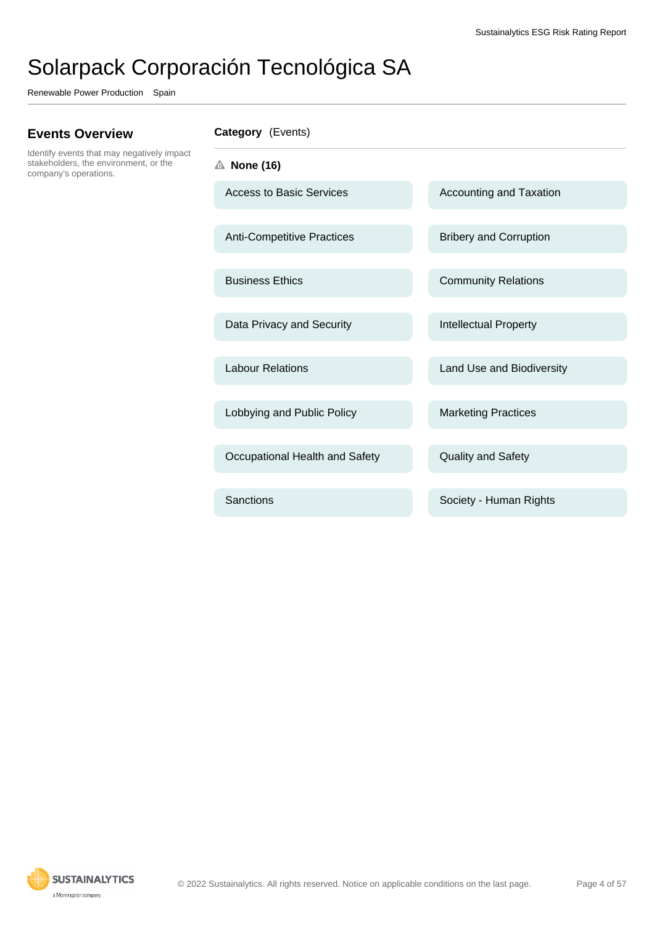Renewable Power Production Spain

#### **Events Overview**

Identify events that may negatively impact stakeholders, the environment, or the company's operations.

**Category** (Events)

- **None (16)**
	- Access to Basic Services Accounting and Taxation

Anti-Competitive Practices Bribery and Corruption

Data Privacy and Security **Intellectual Property** 

Lobbying and Public Policy Marketing Practices

Occupational Health and Safety **Quality and Safety** 

Business Ethics **Community Relations** 

Labour Relations **Labour Relations** Land Use and Biodiversity

Sanctions **Sanctions** Society - Human Rights

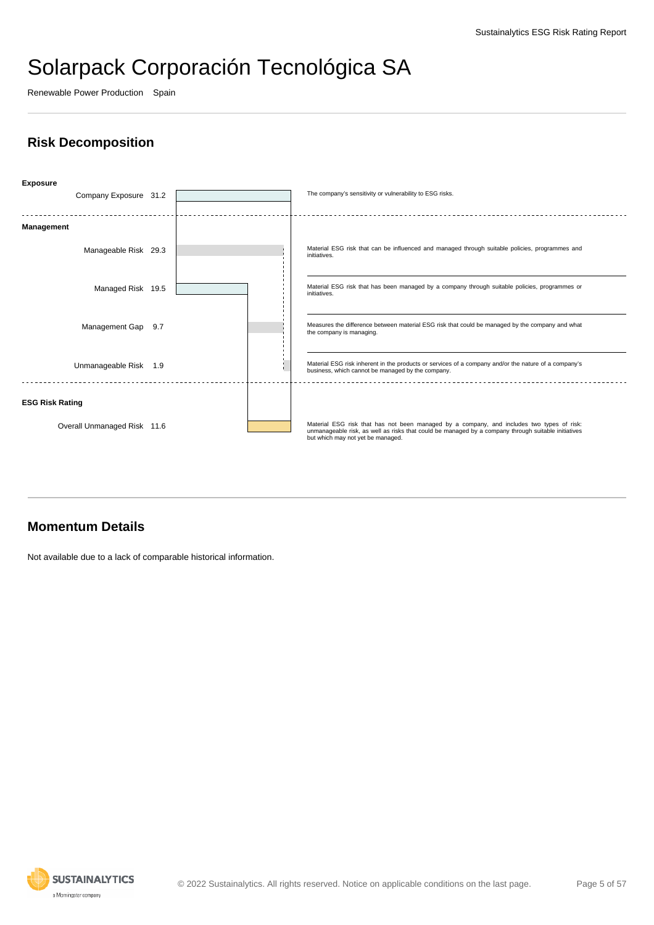Renewable Power Production Spain

### **Risk Decomposition**



#### **Momentum Details**

Not available due to a lack of comparable historical information.

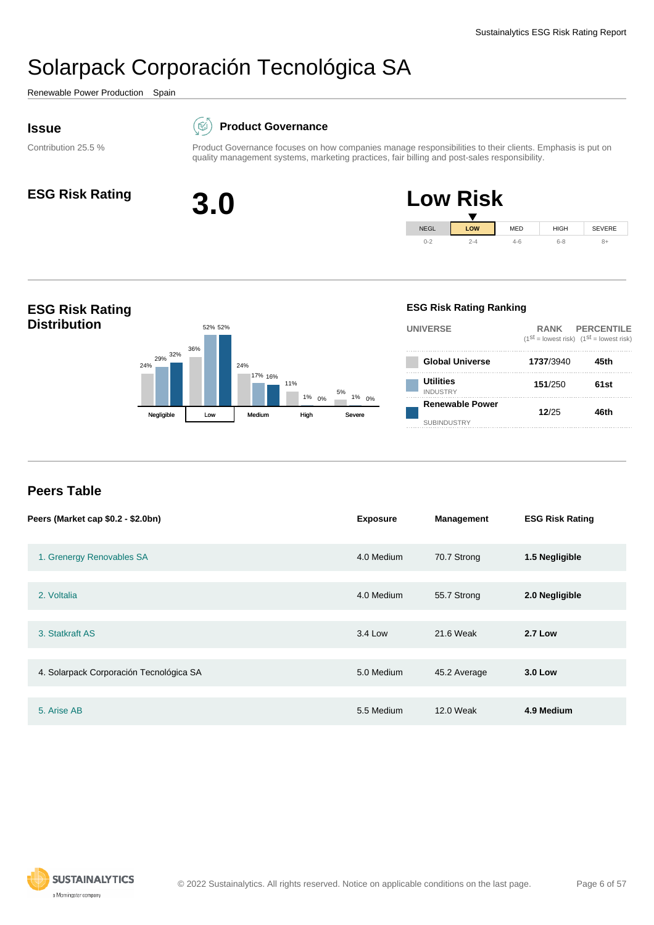<span id="page-5-0"></span>Renewable Power Production Spain

#### **Issue**

#### $(\boxtimes)$ **Product Governance**

Contribution 25.5 %









#### **Peers Table**

| Peers (Market cap \$0.2 - \$2.0bn)      | <b>Exposure</b> | <b>Management</b> | <b>ESG Risk Rating</b> |
|-----------------------------------------|-----------------|-------------------|------------------------|
| 1. Grenergy Renovables SA               | 4.0 Medium      | 70.7 Strong       | 1.5 Negligible         |
| 2. Voltalia                             | 4.0 Medium      | 55.7 Strong       | 2.0 Negligible         |
| 3. Statkraft AS                         | 3.4 Low         | 21.6 Weak         | <b>2.7 Low</b>         |
| 4. Solarpack Corporación Tecnológica SA | 5.0 Medium      | 45.2 Average      | <b>3.0 Low</b>         |
| 5. Arise AB                             | 5.5 Medium      | 12.0 Weak         | 4.9 Medium             |

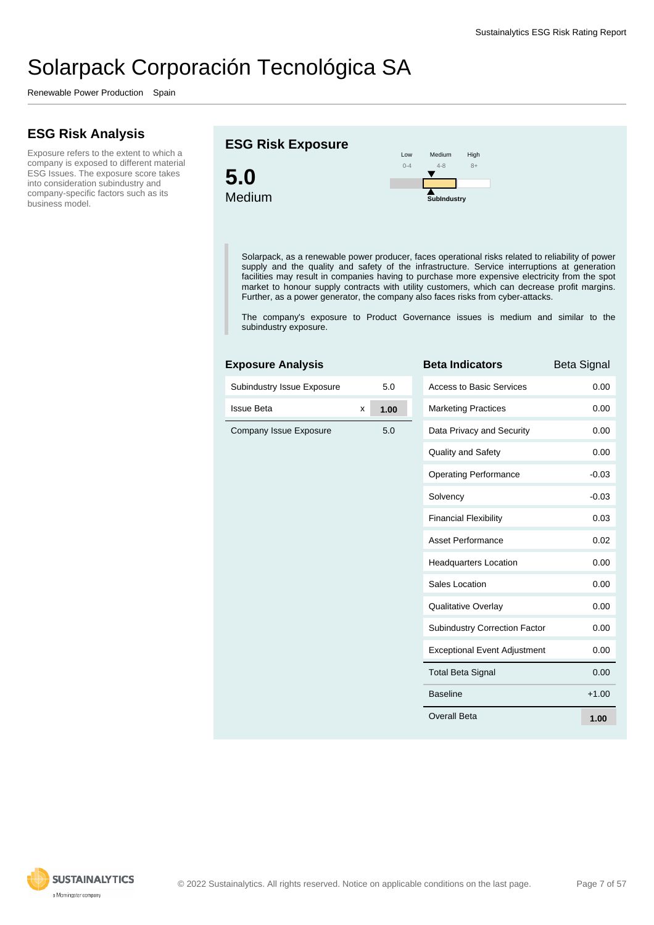Renewable Power Production Spain

### **ESG Risk Analysis**

Exposure refers to the extent to which a company is exposed to different material ESG Issues. The exposure score takes into consideration subindustry and company-specific factors such as its business model.

#### **ESG Risk Exposure**





Solarpack, as a renewable power producer, faces operational risks related to reliability of power supply and the quality and safety of the infrastructure. Service interruptions at generation facilities may result in companies having to purchase more expensive electricity from the spot market to honour supply contracts with utility customers, which can decrease profit margins. Further, as a power generator, the company also faces risks from cyber-attacks.

The company's exposure to Product Governance issues is medium and similar to the subindustry exposure.

| <b>Exposure Analysis</b>   |   |      | <b>Beta In</b>      |
|----------------------------|---|------|---------------------|
| Subindustry Issue Exposure |   | 5.0  | Access <sup>®</sup> |
| <b>Issue Beta</b>          | x | 1.00 | Marketir            |
| Company Issue Exposure     |   | 5.0  | Data Pri            |
|                            |   |      | Quality a           |
|                            |   |      | Operatir            |
|                            |   |      | Solvenc             |
|                            |   |      | Financia            |
|                            |   |      | Asset P             |
|                            |   |      | Headqu              |
|                            |   |      | Sales Lo            |
|                            |   |      | Qualitati           |
|                            |   |      | Subindu             |
|                            |   |      | Exceptio            |
|                            |   |      | <b>Total Be</b>     |
|                            |   |      |                     |

| <b>Beta Indicators</b>               | <b>Beta Signal</b> |
|--------------------------------------|--------------------|
| <b>Access to Basic Services</b>      | 0.00               |
| <b>Marketing Practices</b>           | 0.00               |
| Data Privacy and Security            | 0.00               |
| <b>Quality and Safety</b>            | 0.00               |
| <b>Operating Performance</b>         | $-0.03$            |
| Solvency                             | $-0.03$            |
| <b>Financial Flexibility</b>         | 0.03               |
| Asset Performance                    | 0.02               |
| <b>Headquarters Location</b>         | 0.00               |
| Sales Location                       | 0.00               |
| <b>Qualitative Overlay</b>           | 0.00               |
| <b>Subindustry Correction Factor</b> | 0.00               |
| <b>Exceptional Event Adjustment</b>  | 0.00               |
| <b>Total Beta Signal</b>             | 0.00               |
| <b>Baseline</b>                      | $+1.00$            |
| Overall Beta                         | 1.00               |

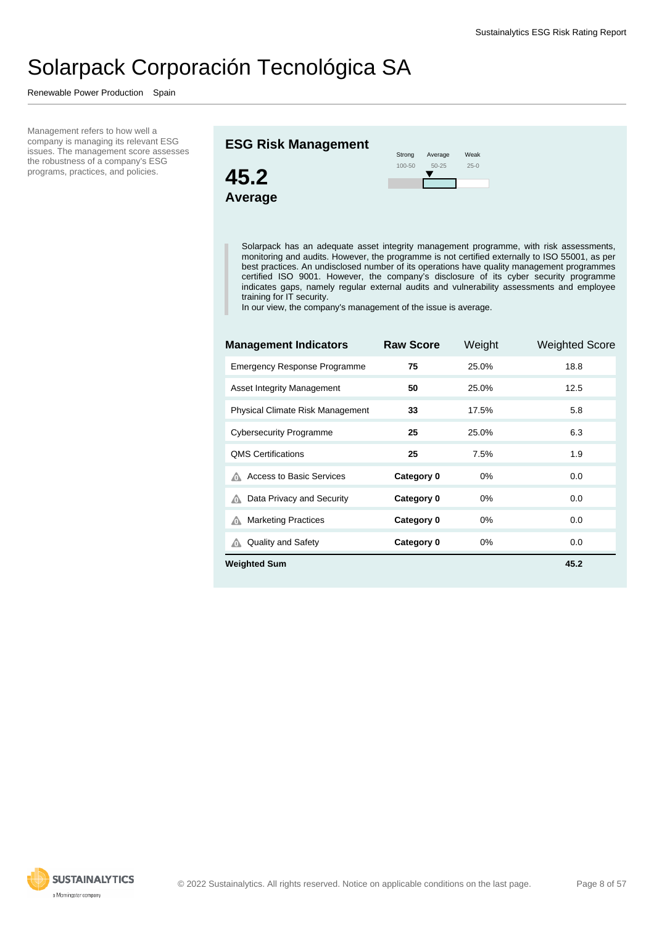Renewable Power Production Spain

Management refers to how well a company is managing its relevant ESG issues. The management score assesses the robustness of a company's ESG programs, practices, and policies.

#### **ESG Risk Management**





Solarpack has an adequate asset integrity management programme, with risk assessments, monitoring and audits. However, the programme is not certified externally to ISO 55001, as per best practices. An undisclosed number of its operations have quality management programmes certified ISO 9001. However, the company's disclosure of its cyber security programme indicates gaps, namely regular external audits and vulnerability assessments and employee training for IT security.

In our view, the company's management of the issue is average.

| <b>Management Indicators</b>            | <b>Raw Score</b> | Weight | <b>Weighted Score</b> |
|-----------------------------------------|------------------|--------|-----------------------|
| <b>Emergency Response Programme</b>     | 75               | 25.0%  | 18.8                  |
| Asset Integrity Management              | 50               | 25.0%  | 12.5                  |
| <b>Physical Climate Risk Management</b> | 33               | 17.5%  | 5.8                   |
| <b>Cybersecurity Programme</b>          | 25               | 25.0%  | 6.3                   |
| <b>QMS Certifications</b>               | 25               | 7.5%   | 1.9                   |
| <b>Access to Basic Services</b>         | Category 0       | 0%     | 0.0                   |
| Data Privacy and Security<br>⋒          | Category 0       | 0%     | 0.0                   |
| <b>Marketing Practices</b><br>⋒         | Category 0       | $0\%$  | 0.0                   |
| <b>Quality and Safety</b><br>⋒          | Category 0       | $0\%$  | 0.0                   |
| <b>Weighted Sum</b>                     |                  |        | 45.2                  |

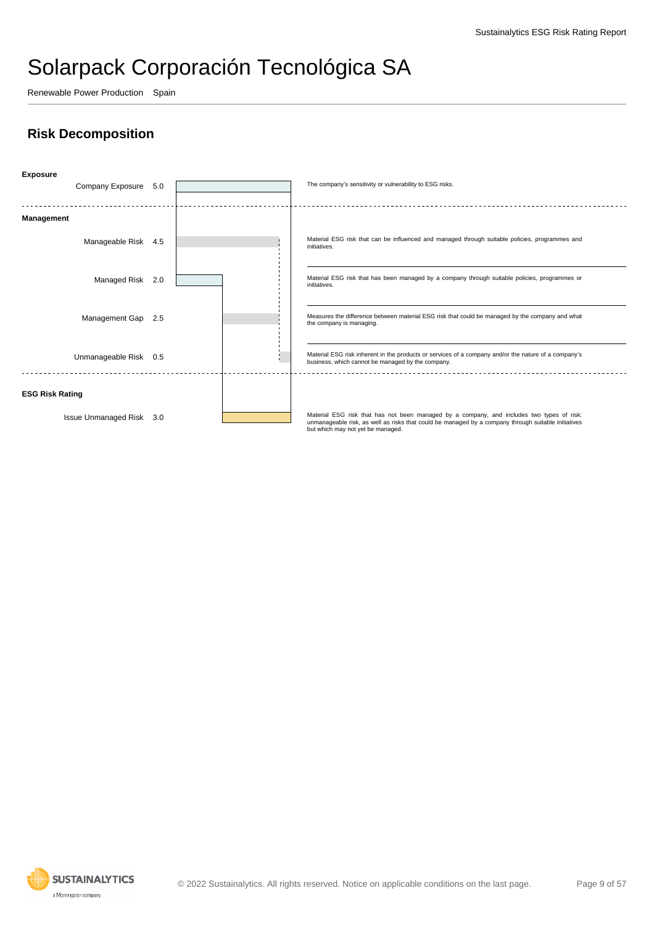Renewable Power Production Spain

### **Risk Decomposition**



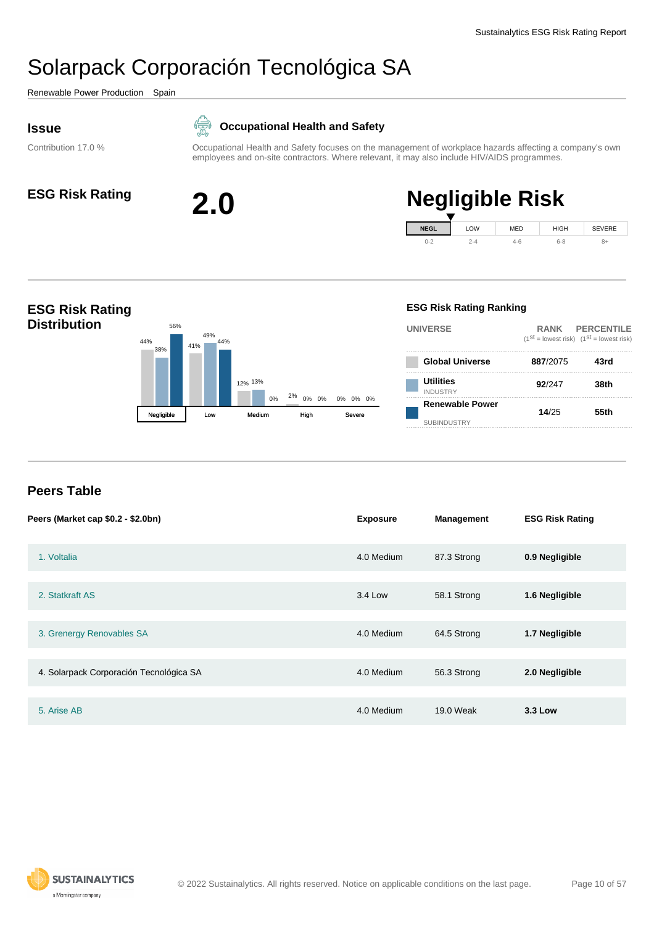<span id="page-9-0"></span>Renewable Power Production Spain

#### **Issue**

Contribution 17.0 %

#### **Occupational Health and Safety** 侵

Occupational Health and Safety focuses on the management of workplace hazards affecting a company's own employees and on-site contractors. Where relevant, it may also include HIV/AIDS programmes.



# **ESG Risk Rating 2.0 Negligible Risk**



#### **ESG Risk Rating Distribution**  $44\%$   $20\%$   $41\%$ 12% 13% 2% 0% 0% 0% 38% 49% 56% 44% 0% <sup>27</sup>° 0% 0% 0% 0% 0% Negligible Low Medium High **ESG Risk Rating Ranking UNIVERSE RANK PERCENTILE**  $(1^{st} =$  lowest risk)  $(1^{st} =$  lowest risk) **Global Universe 887**/2075 **43rd Utilities** INDUSTRY **92**/247 **38th Renewable Power** SUBINDUSTRY **14**/25 **55th**

#### **Peers Table**

| Peers (Market cap \$0.2 - \$2.0bn)      | <b>Exposure</b> | <b>Management</b> | <b>ESG Risk Rating</b> |
|-----------------------------------------|-----------------|-------------------|------------------------|
| 1. Voltalia                             | 4.0 Medium      | 87.3 Strong       | 0.9 Negligible         |
| 2. Statkraft AS                         | 3.4 Low         | 58.1 Strong       | 1.6 Negligible         |
| 3. Grenergy Renovables SA               | 4.0 Medium      | 64.5 Strong       | 1.7 Negligible         |
| 4. Solarpack Corporación Tecnológica SA | 4.0 Medium      | 56.3 Strong       | 2.0 Negligible         |
| 5. Arise AB                             | 4.0 Medium      | 19.0 Weak         | 3.3 Low                |

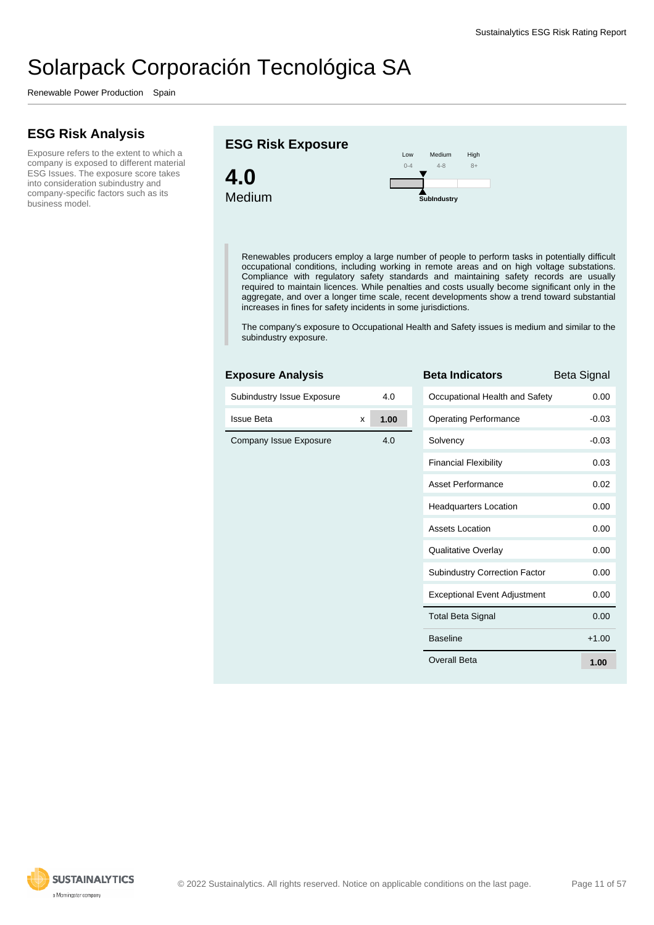Renewable Power Production Spain

### **ESG Risk Analysis**

Exposure refers to the extent to which a company is exposed to different material ESG Issues. The exposure score takes into consideration subindustry and company-specific factors such as its business model.





Renewables producers employ a large number of people to perform tasks in potentially difficult occupational conditions, including working in remote areas and on high voltage substations. Compliance with regulatory safety standards and maintaining safety records are usually required to maintain licences. While penalties and costs usually become significant only in the aggregate, and over a longer time scale, recent developments show a trend toward substantial increases in fines for safety incidents in some jurisdictions.

The company's exposure to Occupational Health and Safety issues is medium and similar to the subindustry exposure.

#### **Exposure Analysis**

| Subindustry Issue Exposure |   | 4.0  | Oc  |
|----------------------------|---|------|-----|
| <b>Issue Beta</b>          | X | 1.00 | Op  |
| Company Issue Exposure     |   | 4.0  | So  |
|                            |   |      | Fir |
|                            |   |      | As  |
|                            |   |      | He  |
|                            |   |      | As  |
|                            |   |      | Qu  |
|                            |   |      | Su  |
|                            |   |      | Ex  |
|                            |   |      | To  |
|                            |   |      | Ba  |
|                            |   |      | Ov  |

| <b>Beta Indicators</b>               | Beta Signal |
|--------------------------------------|-------------|
| Occupational Health and Safety       | 0.00        |
| <b>Operating Performance</b>         | $-0.03$     |
| Solvency                             | $-0.03$     |
| <b>Financial Flexibility</b>         | 0.03        |
| Asset Performance                    | 0.02        |
| <b>Headquarters Location</b>         | 0.00        |
| Assets Location                      | 0.00        |
| <b>Qualitative Overlay</b>           | 0.00        |
| <b>Subindustry Correction Factor</b> | 0.00        |
| <b>Exceptional Event Adjustment</b>  | 0.00        |
| <b>Total Beta Signal</b>             | 0.00        |
| <b>Baseline</b>                      | $+1.00$     |
| Overall Beta                         | 1.00        |

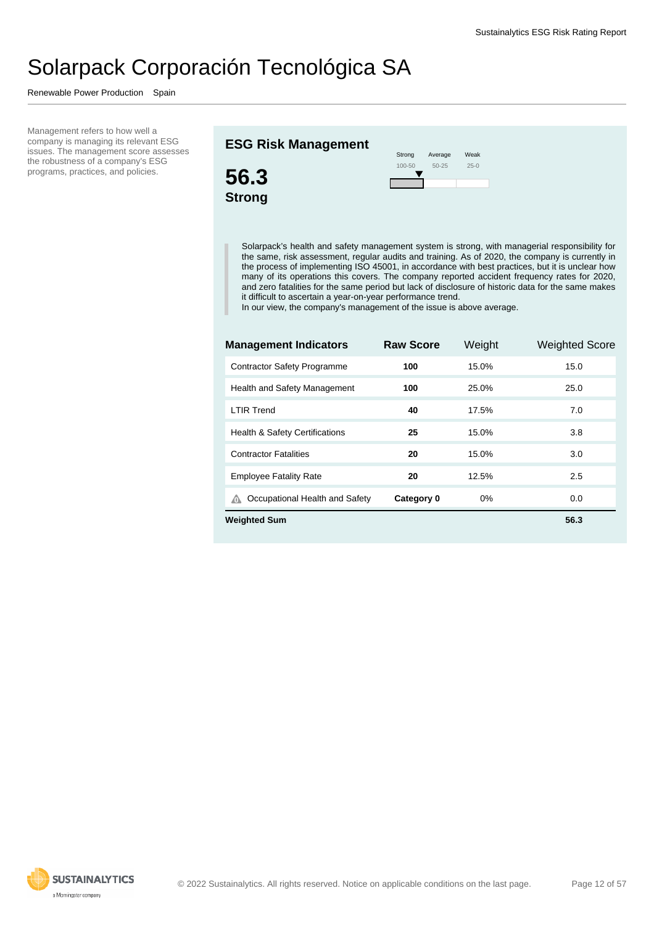Renewable Power Production Spain

Management refers to how well a company is managing its relevant ESG issues. The management score assesses the robustness of a company's ESG programs, practices, and policies.

#### **ESG Risk Management**



Solarpack's health and safety management system is strong, with managerial responsibility for the same, risk assessment, regular audits and training. As of 2020, the company is currently in the process of implementing ISO 45001, in accordance with best practices, but it is unclear how many of its operations this covers. The company reported accident frequency rates for 2020, and zero fatalities for the same period but lack of disclosure of historic data for the same makes it difficult to ascertain a year-on-year performance trend.

Weak 25-0

In our view, the company's management of the issue is above average.

| <b>Management Indicators</b>              | <b>Raw Score</b> | Weight | <b>Weighted Score</b> |
|-------------------------------------------|------------------|--------|-----------------------|
| <b>Contractor Safety Programme</b>        | 100              | 15.0%  | 15.0                  |
| Health and Safety Management              | 100              | 25.0%  | 25.0                  |
| <b>LTIR Trend</b>                         | 40               | 17.5%  | 7.0                   |
| <b>Health &amp; Safety Certifications</b> | 25               | 15.0%  | 3.8                   |
| <b>Contractor Fatalities</b>              | 20               | 15.0%  | 3.0                   |
| <b>Employee Fatality Rate</b>             | 20               | 12.5%  | 2.5                   |
| Occupational Health and Safety<br>⋒       | Category 0       | $0\%$  | 0.0                   |
| <b>Weighted Sum</b>                       |                  |        | 56.3                  |

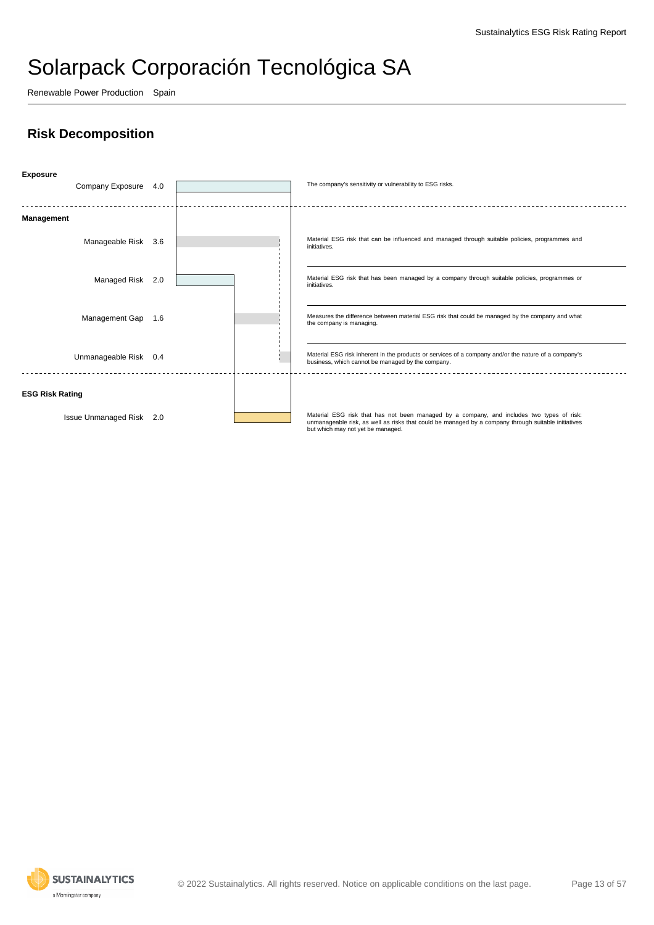Renewable Power Production Spain

### **Risk Decomposition**



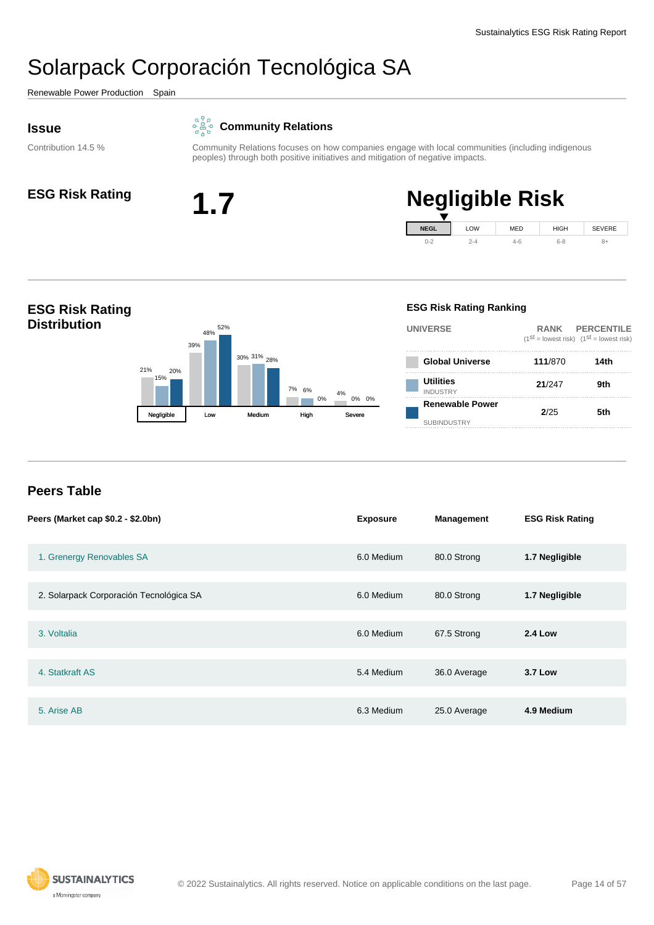<span id="page-13-0"></span>Renewable Power Production Spain

#### **Issue**

### **Community Relations**

Contribution 14.5 %





# **ESG Risk Rating 1.7 Negligible Risk**



#### **ESG Risk Rating Distribution** 21% 39% 30% 31% 28% 7% 4% 6% 15% 48% 0% 20% 52% 0% 0% Negligible Low Medium High **ESG Risk Rating Ranking UNIVERSE RANK PERCENTILE**  $(1^{st} =$  lowest risk)  $(1^{st} =$  lowest risk) **Global Universe 111**/870 **14th Utilities** INDUSTRY **21**/247 **9th Renewable Power** SUBINDUSTRY **2**/25 **5th**

#### **Peers Table**

| Peers (Market cap \$0.2 - \$2.0bn)      | <b>Exposure</b> | <b>Management</b> | <b>ESG Risk Rating</b> |
|-----------------------------------------|-----------------|-------------------|------------------------|
| 1. Grenergy Renovables SA               | 6.0 Medium      | 80.0 Strong       | 1.7 Negligible         |
| 2. Solarpack Corporación Tecnológica SA | 6.0 Medium      | 80.0 Strong       | 1.7 Negligible         |
| 3. Voltalia                             | 6.0 Medium      | 67.5 Strong       | <b>2.4 Low</b>         |
| 4. Statkraft AS                         | 5.4 Medium      | 36.0 Average      | <b>3.7 Low</b>         |
| 5. Arise AB                             | 6.3 Medium      | 25.0 Average      | 4.9 Medium             |

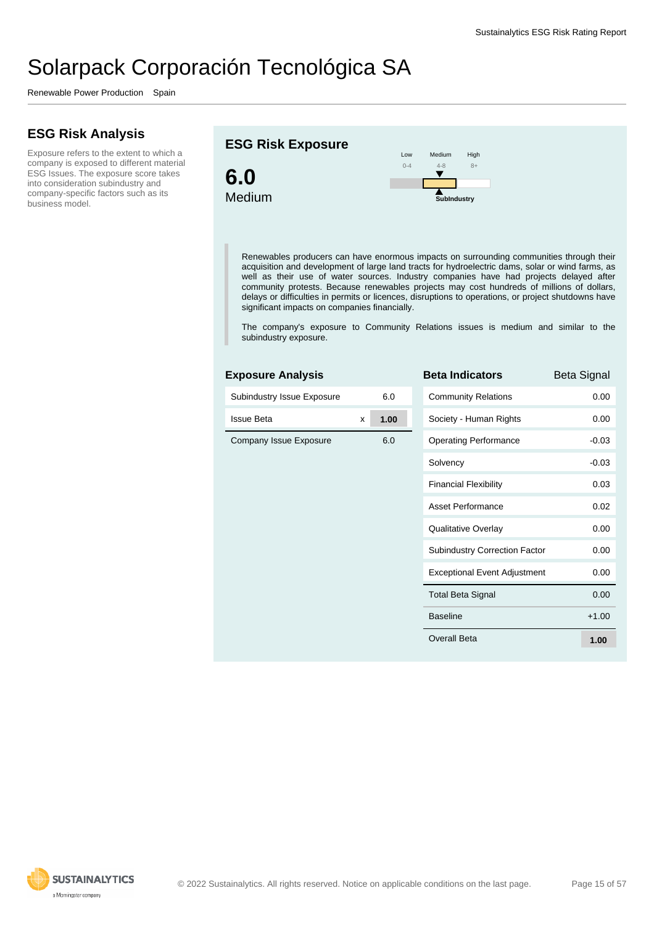Renewable Power Production Spain

### **ESG Risk Analysis**

Exposure refers to the extent to which a company is exposed to different material ESG Issues. The exposure score takes into consideration subindustry and company-specific factors such as its business model.

#### **ESG Risk Exposure**



Renewables producers can have enormous impacts on surrounding communities through their acquisition and development of large land tracts for hydroelectric dams, solar or wind farms, as well as their use of water sources. Industry companies have had projects delayed after community protests. Because renewables projects may cost hundreds of millions of dollars, delays or difficulties in permits or licences, disruptions to operations, or project shutdowns have significant impacts on companies financially.

Medium  $4-8$ 

 $\overline{\textbf{v}}$ 

**SubIndustry**

High 8+

The company's exposure to Community Relations issues is medium and similar to the subindustry exposure.

#### **Exposure Analysis**

| Subindustry Issue Exposure |   | 6.0  | C |
|----------------------------|---|------|---|
| <b>Issue Beta</b>          | X | 1.00 | S |
| Company Issue Exposure     |   | 6.0  | O |
|                            |   |      | S |
|                            |   |      | F |
|                            |   |      | A |
|                            |   |      | Q |
|                            |   |      | S |
|                            |   |      | E |
|                            |   |      | T |
|                            |   |      | B |
|                            |   |      | O |
|                            |   |      |   |

| <b>Beta Indicators</b>               | Beta Signal |
|--------------------------------------|-------------|
| <b>Community Relations</b>           | 0.00        |
| Society - Human Rights               | 0.00        |
| <b>Operating Performance</b>         | $-0.03$     |
| Solvency                             | $-0.03$     |
| <b>Financial Flexibility</b>         | 0.03        |
| Asset Performance                    | 0.02        |
| Qualitative Overlay                  | 0.00        |
| <b>Subindustry Correction Factor</b> | 0.00        |
| <b>Exceptional Event Adjustment</b>  | 0.00        |
| <b>Total Beta Signal</b>             | 0.00        |
| <b>Baseline</b>                      | $+1.00$     |
| Overall Beta                         | 1.00        |

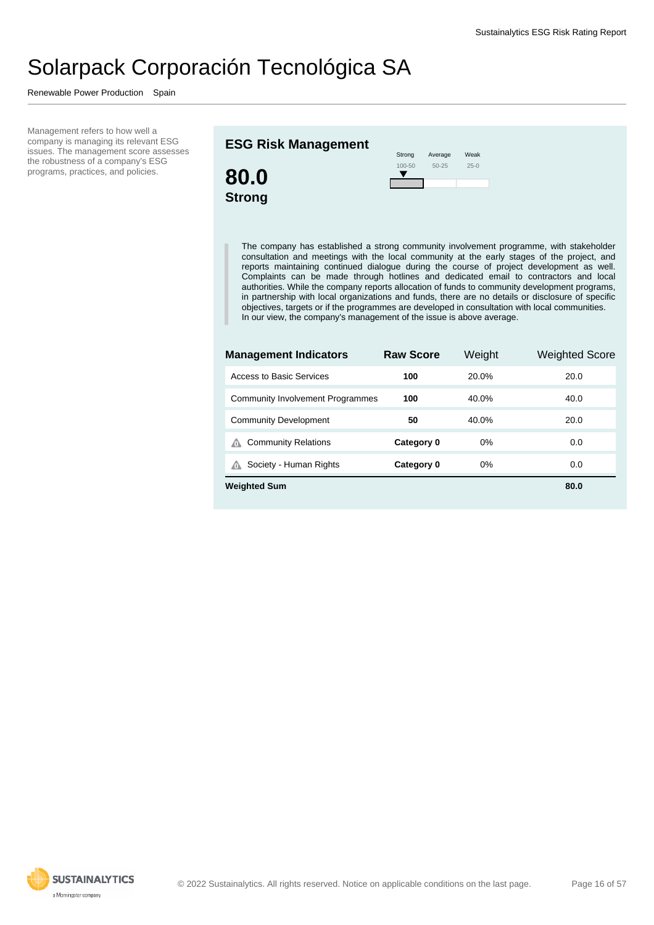Renewable Power Production Spain

Management refers to how well a company is managing its relevant ESG issues. The management score assesses the robustness of a company's ESG programs, practices, and policies.

#### **ESG Risk Management**



| Strong     | Average   | Weak   |
|------------|-----------|--------|
| $100 - 50$ | $50 - 25$ | $25-0$ |
|            |           |        |

The company has established a strong community involvement programme, with stakeholder consultation and meetings with the local community at the early stages of the project, and reports maintaining continued dialogue during the course of project development as well. Complaints can be made through hotlines and dedicated email to contractors and local authorities. While the company reports allocation of funds to community development programs, in partnership with local organizations and funds, there are no details or disclosure of specific objectives, targets or if the programmes are developed in consultation with local communities. In our view, the company's management of the issue is above average.

| <b>Management Indicators</b>            | <b>Raw Score</b> | Weight | Weighted Score |
|-----------------------------------------|------------------|--------|----------------|
| Access to Basic Services                | 100              | 20.0%  | 20.0           |
| <b>Community Involvement Programmes</b> | 100              | 40.0%  | 40.0           |
| <b>Community Development</b>            | 50               | 40.0%  | 20.0           |
| <b>Community Relations</b><br>⋒         | Category 0       | $0\%$  | 0.0            |
| Society - Human Rights<br>⋒             | Category 0       | $0\%$  | 0.0            |
| <b>Weighted Sum</b>                     |                  |        | 80.0           |

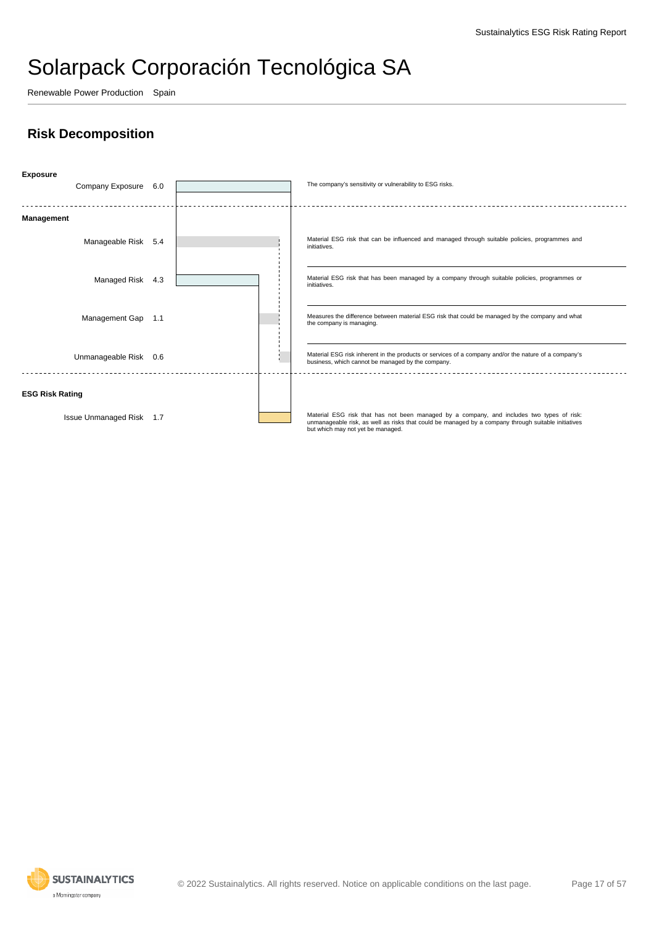Renewable Power Production Spain

### **Risk Decomposition**



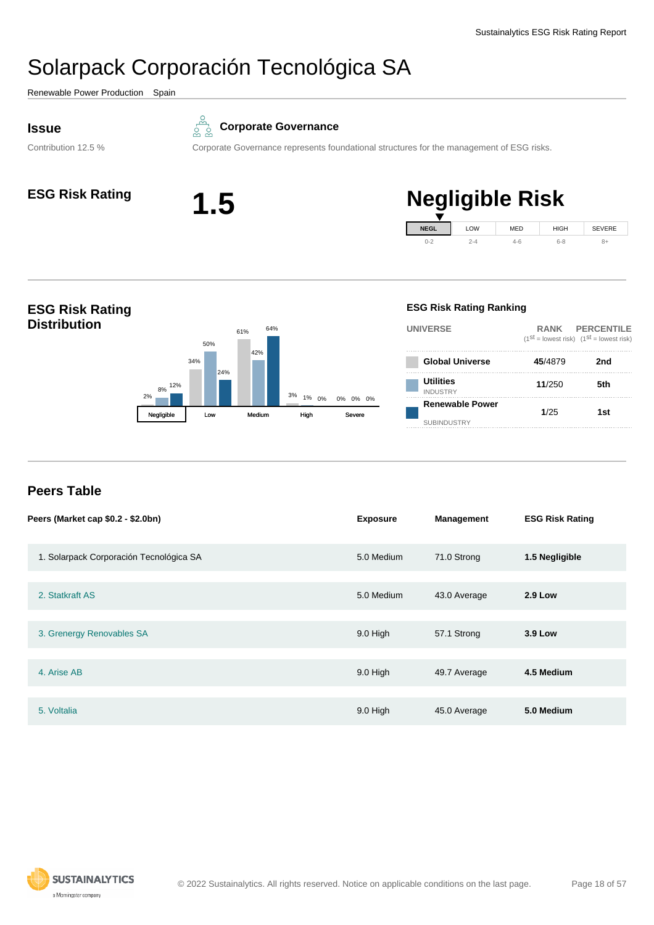<span id="page-17-0"></span>Renewable Power Production Spain

Contribution 12.5 %



#### **Corporate Governance**

Corporate Governance represents foundational structures for the management of ESG risks.



#### **ESG Risk Rating 1.5 Negligible Risk NEGL**  $0 - 2$ LOW 2-4 MED 4-6 HIGH 6-8 SEVERE 8+

#### **ESG Risk Rating Distribution**  $2%$ 34% 61%  $3\%$  1% 8% 50% 42% 1% 0% 12% 24% 64% 0% 0% Negligible Low Medium High **Utilities** INDUSTRY **Renewable Power**

#### **ESG Risk Rating Ranking**

**UNIVERSE RANK PERCENTILE**  $(1^{st} =$  lowest risk)  $(1^{st} =$  lowest risk) **Global Universe 45**/4879 **2nd 11**/250 **5th** SUBINDUSTRY **1**/25 **1st**

### **Peers Table**

| Peers (Market cap \$0.2 - \$2.0bn)      | <b>Exposure</b> | <b>Management</b> | <b>ESG Risk Rating</b> |
|-----------------------------------------|-----------------|-------------------|------------------------|
| 1. Solarpack Corporación Tecnológica SA | 5.0 Medium      | 71.0 Strong       | 1.5 Negligible         |
| 2. Statkraft AS                         | 5.0 Medium      | 43.0 Average      | <b>2.9 Low</b>         |
| 3. Grenergy Renovables SA               | 9.0 High        | 57.1 Strong       | <b>3.9 Low</b>         |
| 4. Arise AB                             | 9.0 High        | 49.7 Average      | 4.5 Medium             |
| 5. Voltalia                             | 9.0 High        | 45.0 Average      | 5.0 Medium             |

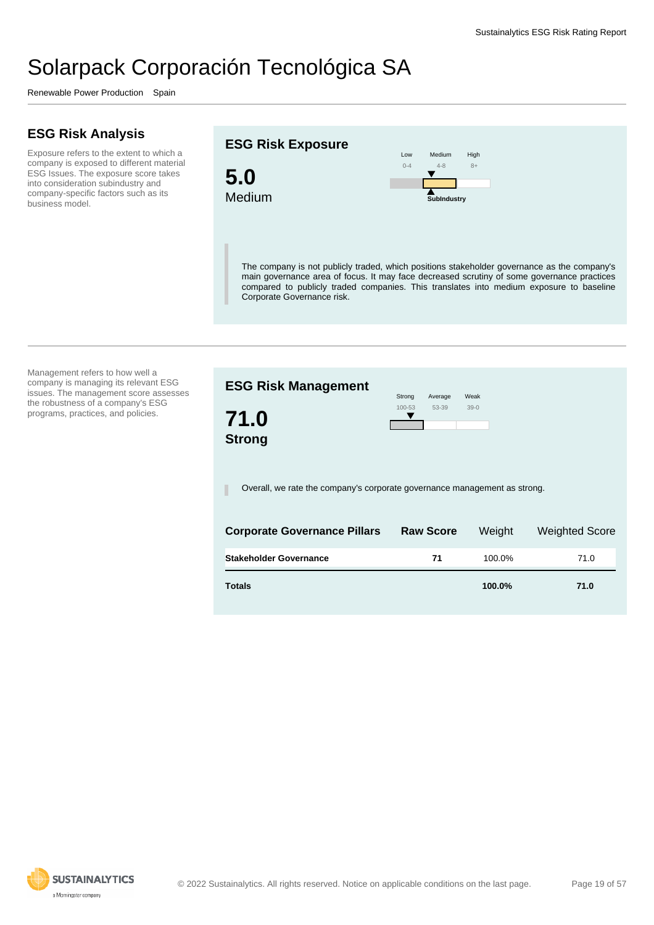Renewable Power Production Spain

### **ESG Risk Analysis**

Exposure refers to the extent to which a company is exposed to different material ESG Issues. The exposure score takes into consideration subindustry and company-specific factors such as its business model.

#### **ESG Risk Exposure**



Low  $0 - 4$ Medium 4-8 High 8+ **SubIndustry**

The company is not publicly traded, which positions stakeholder governance as the company's main governance area of focus. It may face decreased scrutiny of some governance practices compared to publicly traded companies. This translates into medium exposure to baseline Corporate Governance risk.

Management refers to how well a company is managing its relevant ESG issues. The management score assesses the robustness of a company's ESG programs, practices, and policies.

| <b>ESG Risk Management</b>                                                | Strong | Average                            | Weak          |                                            |  |
|---------------------------------------------------------------------------|--------|------------------------------------|---------------|--------------------------------------------|--|
| 71.0<br><b>Strong</b>                                                     | 100-53 | 53-39                              | $39-0$        |                                            |  |
| Overall, we rate the company's corporate governance management as strong. |        |                                    |               |                                            |  |
| Carparata Carramanas Dillare                                              |        | $D$ <sub>a</sub> $D$ <sub>aa</sub> | $101 - 3 - 1$ | $M_{\alpha}$ is a set of $\Omega_{\alpha}$ |  |

| <b>Corporate Governance Pillars</b> | <b>Raw Score</b> | Weight | <b>Weighted Score</b> |
|-------------------------------------|------------------|--------|-----------------------|
| <b>Stakeholder Governance</b>       | 71               | 100.0% | 71.0                  |
| <b>Totals</b>                       |                  | 100.0% | 71.0                  |

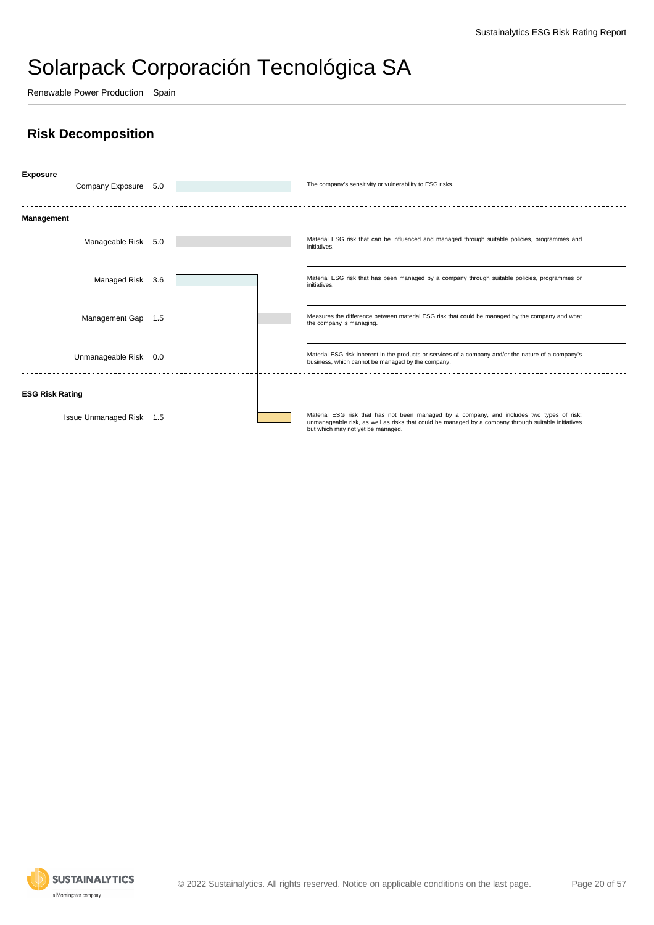Renewable Power Production Spain

### **Risk Decomposition**



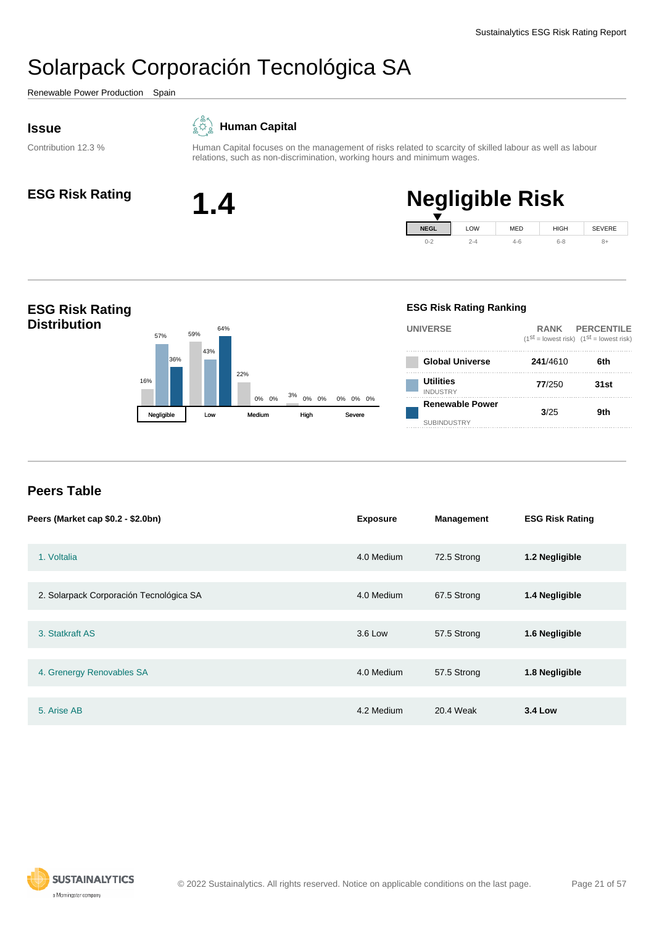<span id="page-20-0"></span>Renewable Power Production Spain

#### **Issue**

#### $\overline{\mathcal{L}}$ **Human Capital**

Contribution 12.3 %

Human Capital focuses on the management of risks related to scarcity of skilled labour as well as labour



# **ESG Risk Rating 1.4 Negligible Risk**





relations, such as non-discrimination, working hours and minimum wages.

#### **Peers Table**

| Peers (Market cap \$0.2 - \$2.0bn)      | <b>Exposure</b> | <b>Management</b> | <b>ESG Risk Rating</b> |
|-----------------------------------------|-----------------|-------------------|------------------------|
| 1. Voltalia                             | 4.0 Medium      | 72.5 Strong       | 1.2 Negligible         |
| 2. Solarpack Corporación Tecnológica SA | 4.0 Medium      | 67.5 Strong       | 1.4 Negligible         |
| 3. Statkraft AS                         | 3.6 Low         | 57.5 Strong       | 1.6 Negligible         |
| 4. Grenergy Renovables SA               | 4.0 Medium      | 57.5 Strong       | 1.8 Negligible         |
| 5. Arise AB                             | 4.2 Medium      | 20.4 Weak         | <b>3.4 Low</b>         |

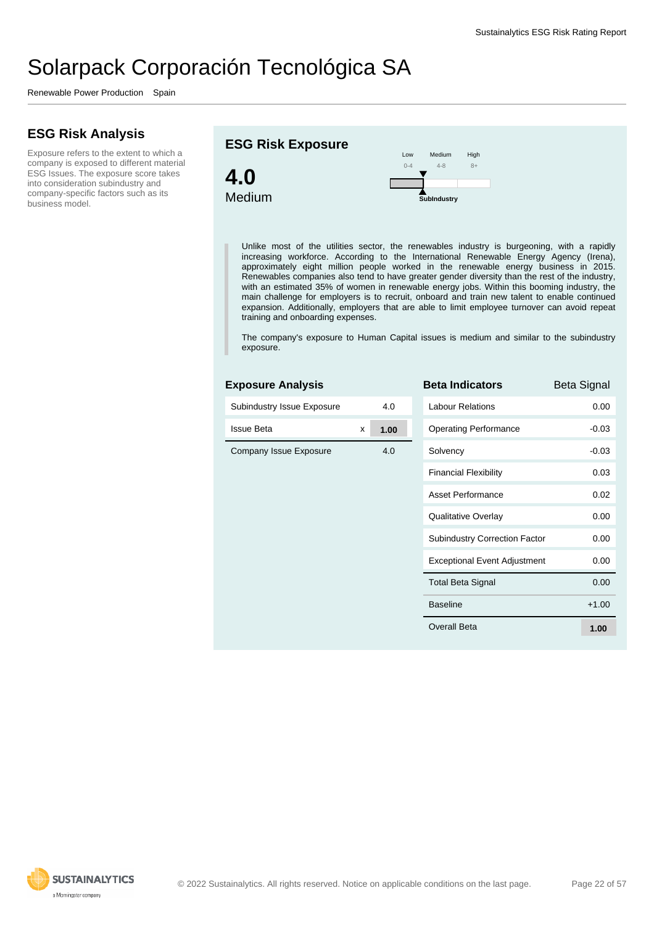Renewable Power Production Spain

### **ESG Risk Analysis**

Exposure refers to the extent to which a company is exposed to different material ESG Issues. The exposure score takes into consideration subindustry and company-specific factors such as its business model.





Unlike most of the utilities sector, the renewables industry is burgeoning, with a rapidly increasing workforce. According to the International Renewable Energy Agency (Irena), approximately eight million people worked in the renewable energy business in 2015. Renewables companies also tend to have greater gender diversity than the rest of the industry, with an estimated 35% of women in renewable energy jobs. Within this booming industry, the main challenge for employers is to recruit, onboard and train new talent to enable continued expansion. Additionally, employers that are able to limit employee turnover can avoid repeat training and onboarding expenses.

The company's exposure to Human Capital issues is medium and similar to the subindustry exposure.

| <b>Exposure Analysis</b>   |   |      | <b>Beta Inc</b>     |
|----------------------------|---|------|---------------------|
| Subindustry Issue Exposure |   | 4.0  | Labour <sub>R</sub> |
| <b>Issue Beta</b>          | x | 1.00 | Operating           |
| Company Issue Exposure     |   | 4.0  | Solvency            |
|                            |   |      | Financial           |
|                            |   |      | Asset Pe            |
|                            |   |      | Qualitativ          |
|                            |   |      | Subindus            |
|                            |   |      | Exception           |
|                            |   |      | <b>Total Bet</b>    |
|                            |   |      | <b>Baseline</b>     |
|                            |   |      | <b>Overall B</b>    |
|                            |   |      |                     |

| Beta Indicators                      | Beta Signal |
|--------------------------------------|-------------|
| I abour Relations                    | 0.00        |
| <b>Operating Performance</b>         | $-0.03$     |
| Solvency                             | $-0.03$     |
| <b>Financial Flexibility</b>         | 0.03        |
| Asset Performance                    | 0.02        |
| Qualitative Overlay                  | 0.00        |
| <b>Subindustry Correction Factor</b> | 0.00        |
| <b>Exceptional Event Adjustment</b>  | 0.00        |
| <b>Total Beta Signal</b>             | 0.00        |
| <b>Baseline</b>                      | $+1.00$     |
| Overall Beta                         | 1.00        |

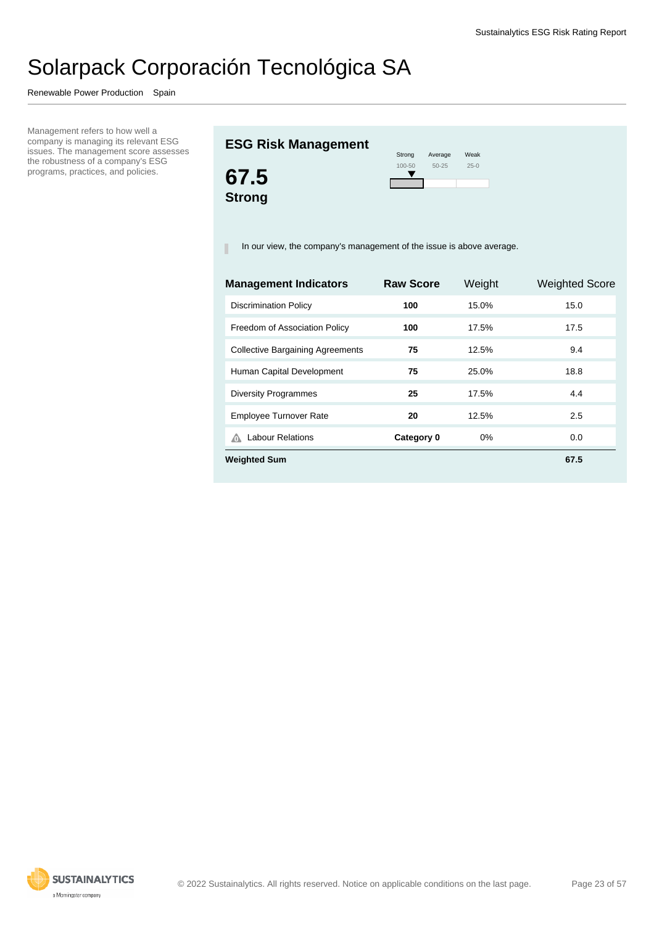Renewable Power Production Spain

Management refers to how well a company is managing its relevant ESG issues. The management score assesses the robustness of a company's ESG programs, practices, and policies.

### **ESG Risk Management**



| Strong     | Average   | Weak   |
|------------|-----------|--------|
| $100 - 50$ | $50 - 25$ | $25-0$ |
|            |           |        |

In our view, the company's management of the issue is above average.

| <b>Management Indicators</b>            | <b>Raw Score</b> | Weight | <b>Weighted Score</b> |
|-----------------------------------------|------------------|--------|-----------------------|
| <b>Discrimination Policy</b>            | 100              | 15.0%  | 15.0                  |
| Freedom of Association Policy           | 100              | 17.5%  | 17.5                  |
| <b>Collective Bargaining Agreements</b> | 75               | 12.5%  | 9.4                   |
| Human Capital Development               | 75               | 25.0%  | 18.8                  |
| <b>Diversity Programmes</b>             | 25               | 17.5%  | 4.4                   |
| <b>Employee Turnover Rate</b>           | 20               | 12.5%  | 2.5                   |
| <b>Labour Relations</b><br>⋒            | Category 0       | 0%     | 0.0                   |
| <b>Weighted Sum</b>                     |                  |        | 67.5                  |
|                                         |                  |        |                       |

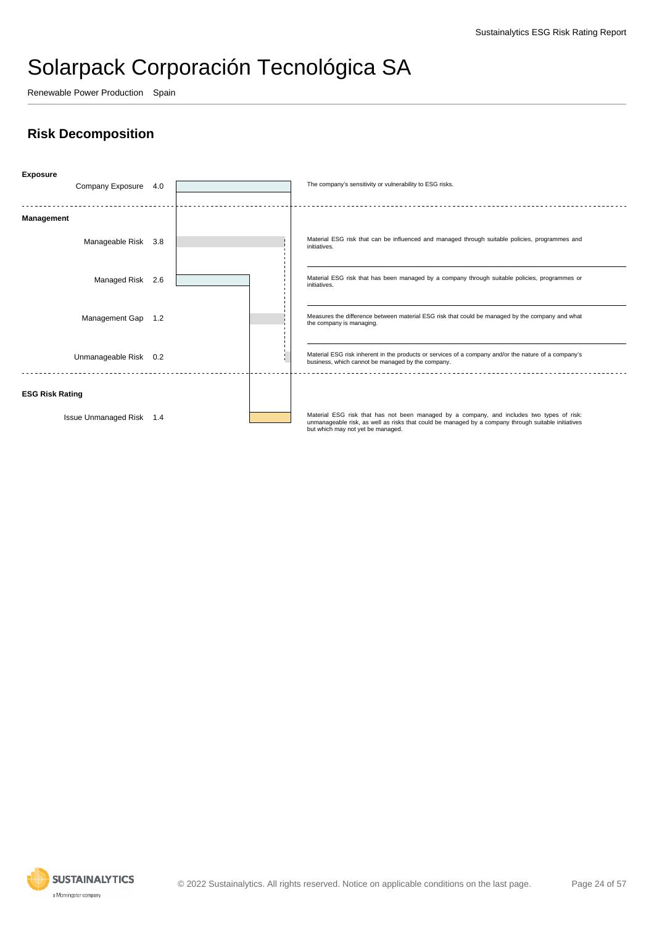Renewable Power Production Spain

### **Risk Decomposition**



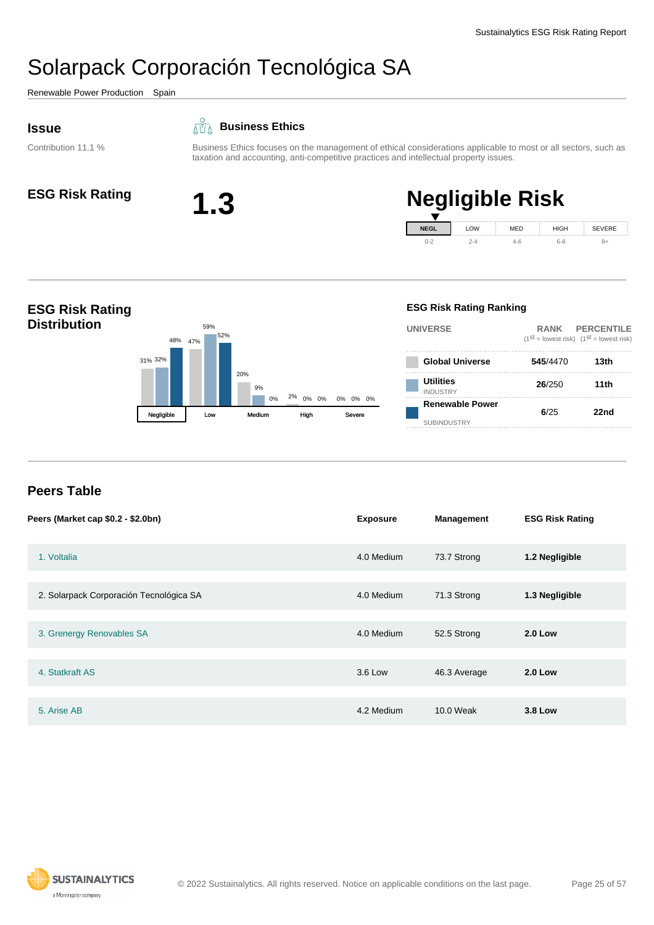<span id="page-24-0"></span>Renewable Power Production Spain

#### **Issue**

Contribution 11.1 %

#### **Business Ethics**

Business Ethics focuses on the management of ethical considerations applicable to most or all sectors, such as taxation and accounting, anti-competitive practices and intellectual property issues.

 $0 - 2$ 



#### **ESG Risk Rating 1.3 Negligible Risk NEGL** LOW MED HIGH SEVERE

4-6

6-8

8+

2-4



#### **Peers Table**

| Peers (Market cap \$0.2 - \$2.0bn)      | <b>Exposure</b> | <b>Management</b> | <b>ESG Risk Rating</b> |
|-----------------------------------------|-----------------|-------------------|------------------------|
| 1. Voltalia                             | 4.0 Medium      | 73.7 Strong       | 1.2 Negligible         |
| 2. Solarpack Corporación Tecnológica SA | 4.0 Medium      | 71.3 Strong       | 1.3 Negligible         |
| 3. Grenergy Renovables SA               | 4.0 Medium      | 52.5 Strong       | <b>2.0 Low</b>         |
| 4. Statkraft AS                         | 3.6 Low         | 46.3 Average      | <b>2.0 Low</b>         |
|                                         |                 |                   |                        |
| 5. Arise AB                             | 4.2 Medium      | 10.0 Weak         | <b>3.8 Low</b>         |

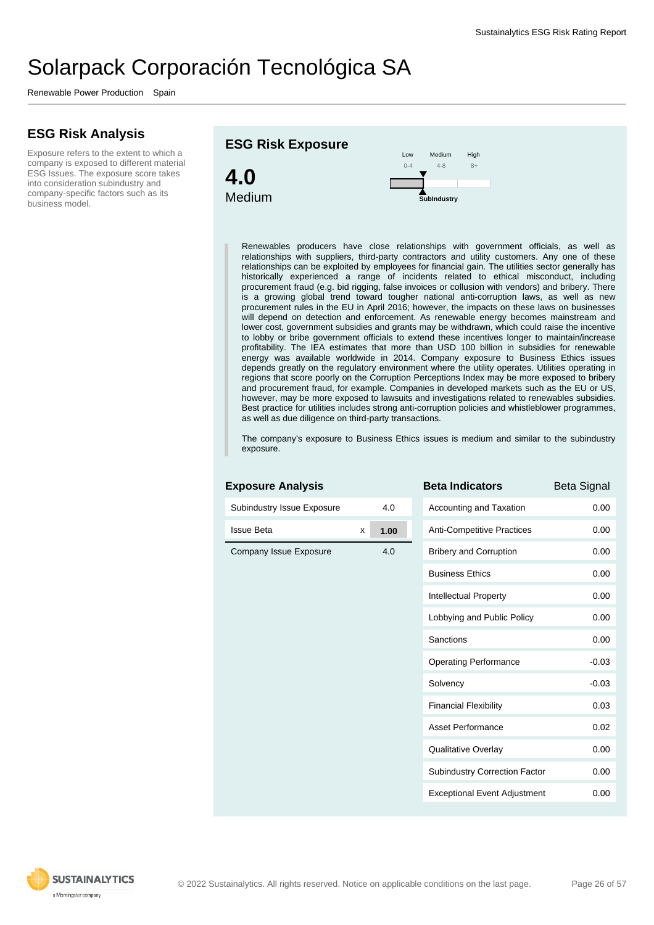Renewable Power Production Spain

### **ESG Risk Analysis**

Exposure refers to the extent to which a company is exposed to different material ESG Issues. The exposure score takes into consideration subindustry and company-specific factors such as its business model.



Renewables producers have close relationships with government officials, as well as relationships with suppliers, third-party contractors and utility customers. Any one of these relationships can be exploited by employees for financial gain. The utilities sector generally has historically experienced a range of incidents related to ethical misconduct, including procurement fraud (e.g. bid rigging, false invoices or collusion with vendors) and bribery. There is a growing global trend toward tougher national anti-corruption laws, as well as new procurement rules in the EU in April 2016; however, the impacts on these laws on businesses will depend on detection and enforcement. As renewable energy becomes mainstream and lower cost, government subsidies and grants may be withdrawn, which could raise the incentive to lobby or bribe government officials to extend these incentives longer to maintain/increase profitability. The IEA estimates that more than USD 100 billion in subsidies for renewable energy was available worldwide in 2014. Company exposure to Business Ethics issues depends greatly on the regulatory environment where the utility operates. Utilities operating in regions that score poorly on the Corruption Perceptions Index may be more exposed to bribery and procurement fraud, for example. Companies in developed markets such as the EU or US, however, may be more exposed to lawsuits and investigations related to renewables subsidies. Best practice for utilities includes strong anti-corruption policies and whistleblower programmes, as well as due diligence on third-party transactions.

The company's exposure to Business Ethics issues is medium and similar to the subindustry exposure.

| <b>Exposure Analysis</b>   |   |      | <b>Beta Indicators</b>              | <b>Beta Signal</b> |
|----------------------------|---|------|-------------------------------------|--------------------|
| Subindustry Issue Exposure |   | 4.0  | Accounting and Taxation             | 0.00               |
| <b>Issue Beta</b>          | X | 1.00 | Anti-Competitive Practices          | 0.00               |
| Company Issue Exposure     |   | 4.0  | <b>Bribery and Corruption</b>       | 0.00               |
|                            |   |      | <b>Business Ethics</b>              | 0.00               |
|                            |   |      | Intellectual Property               | 0.00               |
|                            |   |      | Lobbying and Public Policy          | 0.00               |
|                            |   |      | Sanctions                           | 0.00               |
|                            |   |      | <b>Operating Performance</b>        | $-0.03$            |
|                            |   |      | Solvency                            | $-0.03$            |
|                            |   |      | <b>Financial Flexibility</b>        | 0.03               |
|                            |   |      | <b>Asset Performance</b>            | 0.02               |
|                            |   |      | <b>Qualitative Overlay</b>          | 0.00               |
|                            |   |      | Subindustry Correction Factor       | 0.00               |
|                            |   |      | <b>Exceptional Event Adjustment</b> | 0.00               |

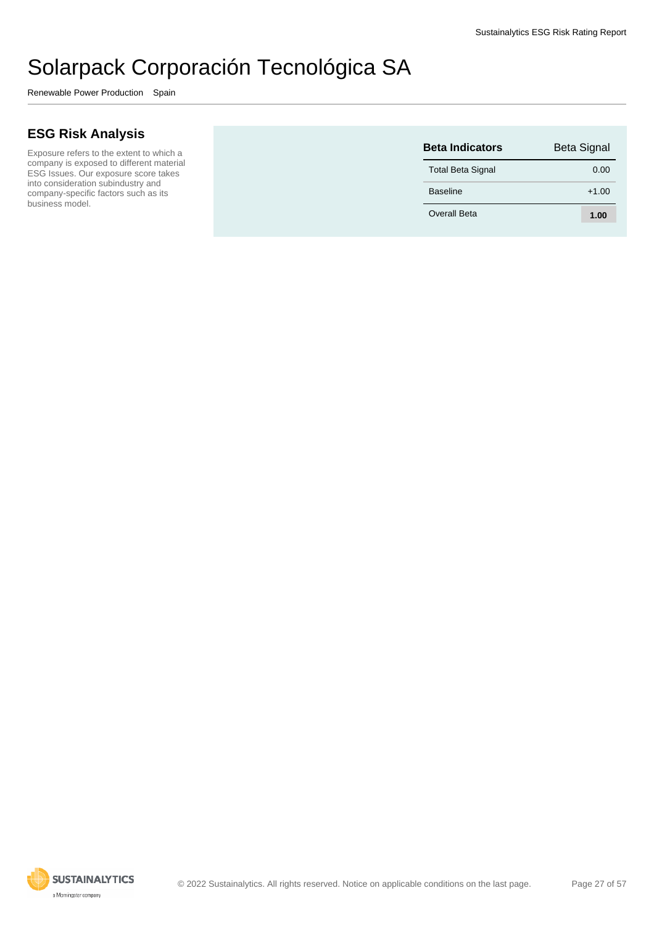Renewable Power Production Spain

#### **ESG Risk Analysis**

Exposure refers to the extent to which a company is exposed to different material ESG Issues. Our exposure score takes into consideration subindustry and company-specific factors such as its business model.

| <b>Beta Indicators</b>   | <b>Beta Signal</b> |
|--------------------------|--------------------|
| <b>Total Beta Signal</b> | 0.00               |
| <b>Baseline</b>          | $+1.00$            |
| Overall Beta             | 1.00               |

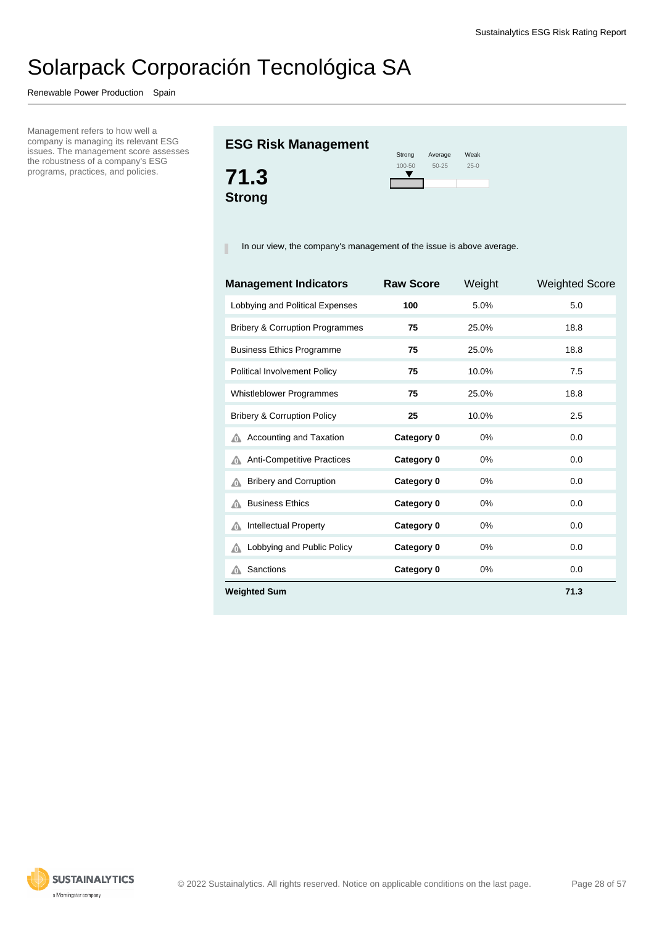Renewable Power Production Spain

Management refers to how well a company is managing its relevant ESG issues. The management score assesses the robustness of a company's ESG programs, practices, and policies.

#### **ESG Risk Management**



| Strong     | Average   | Weak   |
|------------|-----------|--------|
| $100 - 50$ | $50 - 25$ | $25-0$ |
|            |           |        |

In our view, the company's management of the issue is above average.

| <b>Management Indicators</b>               | <b>Raw Score</b> | Weight | <b>Weighted Score</b> |
|--------------------------------------------|------------------|--------|-----------------------|
| Lobbying and Political Expenses            | 100              | 5.0%   | 5.0                   |
| <b>Bribery &amp; Corruption Programmes</b> | 75               | 25.0%  | 18.8                  |
| <b>Business Ethics Programme</b>           | 75               | 25.0%  | 18.8                  |
| Political Involvement Policy               | 75               | 10.0%  | 7.5                   |
| Whistleblower Programmes                   | 75               | 25.0%  | 18.8                  |
| <b>Bribery &amp; Corruption Policy</b>     | 25               | 10.0%  | 2.5                   |
| Accounting and Taxation<br>⋒               | Category 0       | 0%     | 0.0                   |
| Anti-Competitive Practices<br>⋒            | Category 0       | 0%     | 0.0                   |
| <b>Bribery and Corruption</b><br>⋒         | Category 0       | 0%     | 0.0                   |
| <b>Business Ethics</b><br>⋒                | Category 0       | 0%     | 0.0                   |
| Intellectual Property<br>⚠                 | Category 0       | 0%     | 0.0                   |
| Lobbying and Public Policy<br>⚠            | Category 0       | 0%     | 0.0                   |
| Sanctions<br>⚠                             | Category 0       | 0%     | 0.0                   |
| <b>Weighted Sum</b>                        |                  |        | 71.3                  |

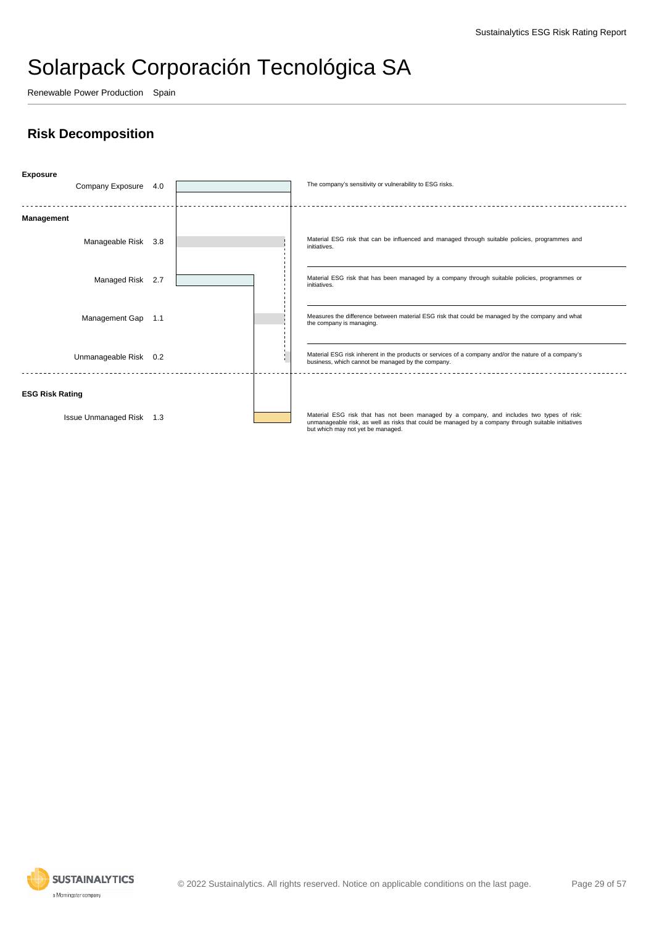Renewable Power Production Spain

### **Risk Decomposition**



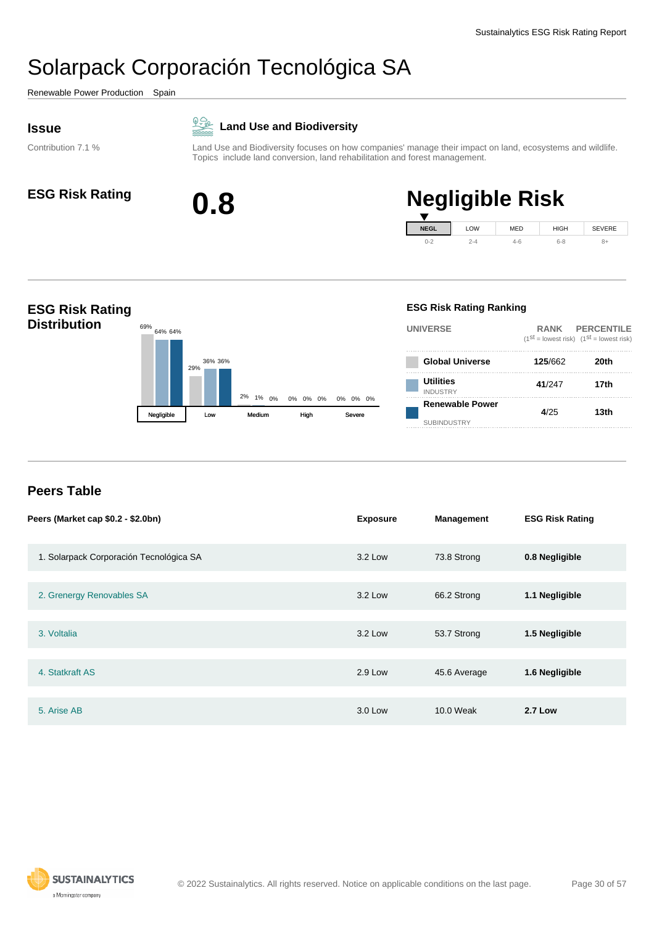<span id="page-29-0"></span>Renewable Power Production Spain

Contribution 7.1 %

#### $\underline{\mathbb{Q}}$ **Land Use and Biodiversity**

Land Use and Biodiversity focuses on how companies' manage their impact on land, ecosystems and wildlife. Topics include land conversion, land rehabilitation and forest management.



# **ESG Risk Rating 0.8 Negligible Risk**



#### **ESG Risk Rating Distribution** 29% 2% 0% 0% 64% 64% 36% 36% 1% 0% 0% 0% 0% 0% Negligible Low Medium High **ESG Risk Rating Ranking UNIVERSE RANK PERCENTILE**  $(1^{st} =$  lowest risk)  $(1^{st} =$  lowest risk) **Global Universe 125**/662 **20th Utilities** INDUSTRY **41**/247 **17th Renewable Power** SUBINDUSTRY **4**/25 **13th**

#### **Peers Table**

| Peers (Market cap \$0.2 - \$2.0bn)      | <b>Exposure</b> | Management   | <b>ESG Risk Rating</b> |
|-----------------------------------------|-----------------|--------------|------------------------|
| 1. Solarpack Corporación Tecnológica SA | 3.2 Low         | 73.8 Strong  | 0.8 Negligible         |
| 2. Grenergy Renovables SA               | $3.2$ Low       | 66.2 Strong  | 1.1 Negligible         |
| 3. Voltalia                             | 3.2 Low         | 53.7 Strong  | 1.5 Negligible         |
| 4. Statkraft AS                         | 2.9 Low         | 45.6 Average | 1.6 Negligible         |
| 5. Arise AB                             | 3.0 Low         | 10.0 Weak    | <b>2.7 Low</b>         |

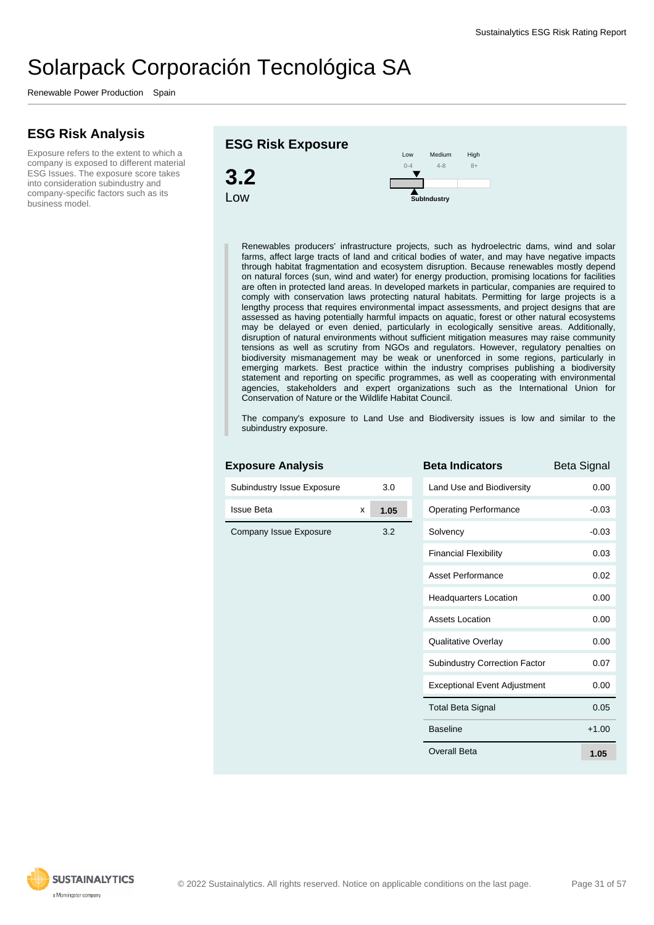Renewable Power Production Spain

#### **ESG Risk Analysis**

Exposure refers to the extent to which a company is exposed to different material ESG Issues. The exposure score takes into consideration subindustry and company-specific factors such as its business model.





Renewables producers' infrastructure projects, such as hydroelectric dams, wind and solar farms, affect large tracts of land and critical bodies of water, and may have negative impacts through habitat fragmentation and ecosystem disruption. Because renewables mostly depend on natural forces (sun, wind and water) for energy production, promising locations for facilities are often in protected land areas. In developed markets in particular, companies are required to comply with conservation laws protecting natural habitats. Permitting for large projects is a lengthy process that requires environmental impact assessments, and project designs that are assessed as having potentially harmful impacts on aquatic, forest or other natural ecosystems may be delayed or even denied, particularly in ecologically sensitive areas. Additionally, disruption of natural environments without sufficient mitigation measures may raise community tensions as well as scrutiny from NGOs and regulators. However, regulatory penalties on biodiversity mismanagement may be weak or unenforced in some regions, particularly in emerging markets. Best practice within the industry comprises publishing a biodiversity statement and reporting on specific programmes, as well as cooperating with environmental agencies, stakeholders and expert organizations such as the International Union for Conservation of Nature or the Wildlife Habitat Council.

The company's exposure to Land Use and Biodiversity issues is low and similar to the subindustry exposure.

| Subindustry Issue Exposure |   | 3.0  |  |
|----------------------------|---|------|--|
| <b>Issue Beta</b>          | X | 1.05 |  |
| Company Issue Exposure     |   | 3.2  |  |
|                            |   |      |  |
|                            |   |      |  |
|                            |   |      |  |
|                            |   |      |  |
|                            |   |      |  |
|                            |   |      |  |
|                            |   |      |  |
|                            |   |      |  |
|                            |   |      |  |
|                            |   |      |  |

**Exposure Analysis**

| <b>Beta Indicators</b>               | <b>Beta Signal</b> |
|--------------------------------------|--------------------|
| Land Use and Biodiversity            | 0.00               |
| <b>Operating Performance</b>         | $-0.03$            |
| Solvency                             | $-0.03$            |
| <b>Financial Flexibility</b>         | 0.03               |
| <b>Asset Performance</b>             | 0.02               |
| <b>Headquarters Location</b>         | 0.00               |
| <b>Assets Location</b>               | 0.00               |
| Qualitative Overlay                  | 0.00               |
| <b>Subindustry Correction Factor</b> | 0.07               |
| <b>Exceptional Event Adjustment</b>  | 0.00               |
| <b>Total Beta Signal</b>             | 0.05               |
| <b>Baseline</b>                      | $+1.00$            |
| Overall Beta                         | 1.05               |

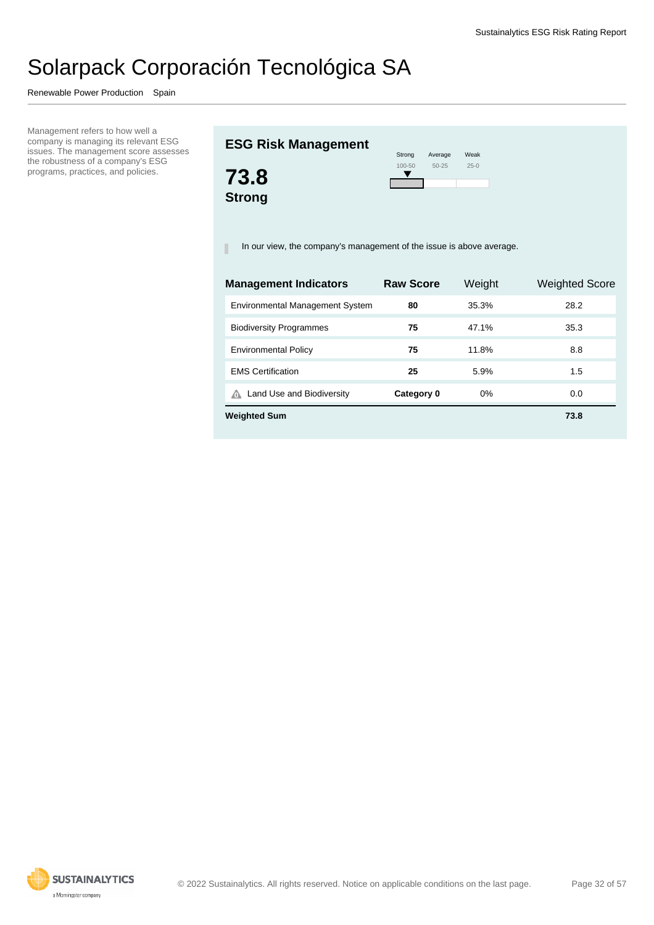Renewable Power Production Spain

Management refers to how well a company is managing its relevant ESG issues. The management score assesses the robustness of a company's ESG programs, practices, and policies.

### **ESG Risk Management**



| Strong     | Average   | Weak   |
|------------|-----------|--------|
| $100 - 50$ | $50 - 25$ | $25-0$ |
|            |           |        |
|            |           |        |

In our view, the company's management of the issue is above average.

| <b>Management Indicators</b>           | <b>Raw Score</b> | Weight | <b>Weighted Score</b> |
|----------------------------------------|------------------|--------|-----------------------|
| <b>Environmental Management System</b> | 80               | 35.3%  | 28.2                  |
| <b>Biodiversity Programmes</b>         | 75               | 47.1%  | 35.3                  |
| <b>Environmental Policy</b>            | 75               | 11.8%  | 8.8                   |
| <b>EMS Certification</b>               | 25               | 5.9%   | 1.5                   |
| Land Use and Biodiversity<br>⋒         | Category 0       | $0\%$  | 0.0                   |
| <b>Weighted Sum</b>                    |                  |        | 73.8                  |

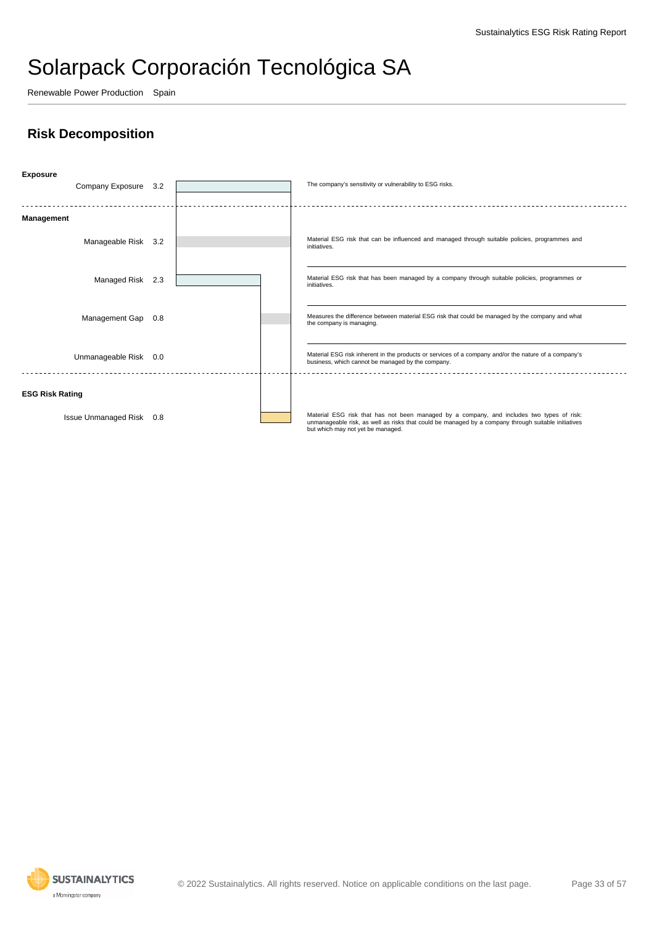Renewable Power Production Spain

### **Risk Decomposition**



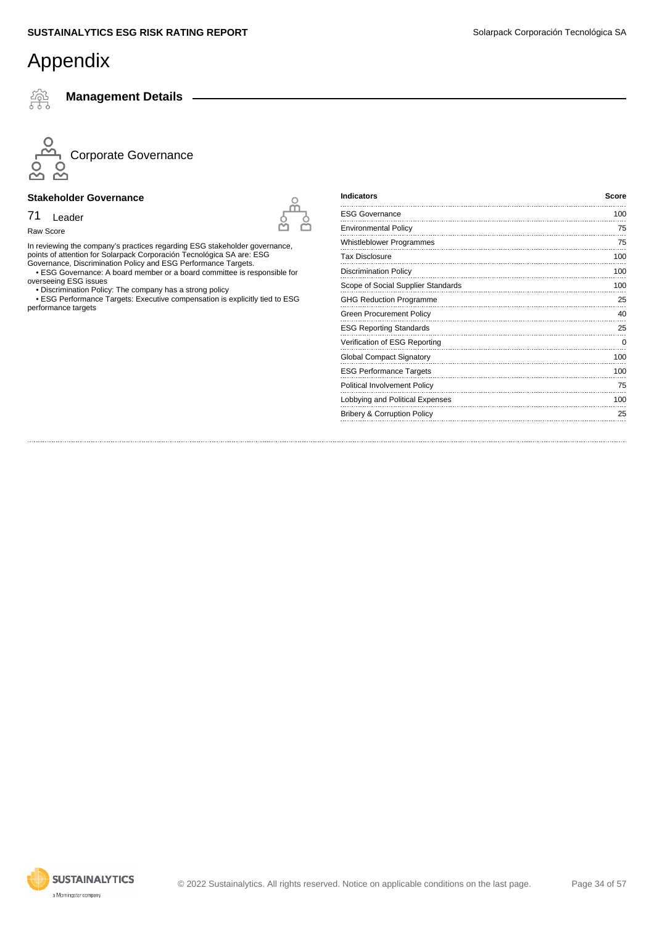쬬

**Management Details**



#### **Stakeholder Governance**

71 Leader

Raw Score

In reviewing the company's practices regarding ESG stakeholder governance, points of attention for Solarpack Corporación Tecnológica SA are: ESG Governance, Discrimination Policy and ESG Performance Targets.

 • ESG Governance: A board member or a board committee is responsible for overseeing ESG issues

• Discrimination Policy: The company has a strong policy

 • ESG Performance Targets: Executive compensation is explicitly tied to ESG performance targets

| <b>Indicators</b>                      | <b>Score</b> |
|----------------------------------------|--------------|
| <b>ESG Governance</b>                  | 100          |
| <b>Environmental Policy</b>            | 75           |
| Whistleblower Programmes               | 75           |
| <b>Tax Disclosure</b>                  | 100          |
| <b>Discrimination Policy</b>           | 100          |
| Scope of Social Supplier Standards     | 100          |
| <b>GHG Reduction Programme</b>         | 25           |
| <b>Green Procurement Policy</b>        | 40           |
| <b>ESG Reporting Standards</b>         | 25           |
| Verification of ESG Reporting          | 0            |
| Global Compact Signatory               | 100          |
| <b>ESG Performance Targets</b>         | 100          |
| Political Involvement Policy           | 75           |
| Lobbying and Political Expenses        | 100          |
| <b>Bribery &amp; Corruption Policy</b> | 25           |
|                                        |              |

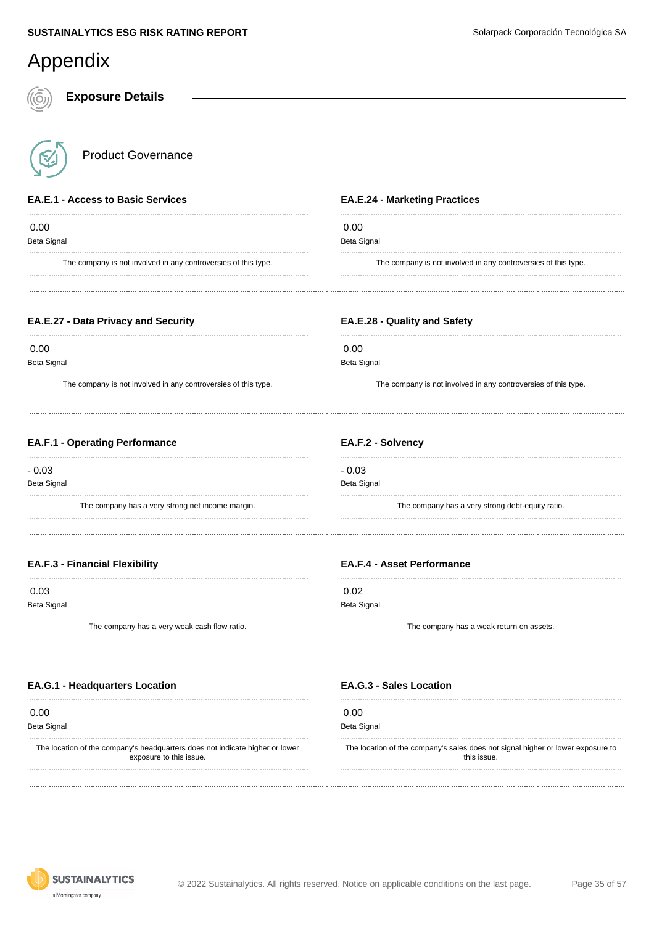| Appendix                                                           |                                                                |
|--------------------------------------------------------------------|----------------------------------------------------------------|
| <b>Exposure Details</b>                                            |                                                                |
| <b>Product Governance</b>                                          |                                                                |
| <b>EA.E.1 - Access to Basic Services</b>                           | <b>EA.E.24 - Marketing Practices</b>                           |
| 0.00<br><b>Beta Signal</b>                                         | 0.00<br><b>Beta Signal</b>                                     |
| The company is not involved in any controversies of this type.     | The company is not involved in any controversies of this type. |
| EA.E.27 - Data Privacy and Security                                | EA.E.28 - Quality and Safety                                   |
| 0.00<br>Beta Signal                                                | 0.00<br>Beta Signal                                            |
| The company is not involved in any controversies of this type.     | The company is not involved in any controversies of this type. |
| <b>EA.F.1 - Operating Performance</b>                              | EA.F.2 - Solvency                                              |
| $-0.03$<br><b>Beta Signal</b>                                      | $-0.03$<br>Beta Signal                                         |
| The company has a very strong net income margin.                   | The company has a very strong debt-equity ratio.               |
| <b>EA.F.3 - Financial Flexibility</b>                              | <b>EA.F.4 - Asset Performance</b>                              |
| 0.03                                                               | 0.02                                                           |
| <b>Beta Signal</b><br>The company has a very weak cash flow ratio. | <b>Beta Signal</b><br>The company has a weak return on assets. |
| <b>EA.G.1 - Headquarters Location</b>                              | <b>EA.G.3 - Sales Location</b>                                 |
| 0.00                                                               | 0.00                                                           |

Beta Signal

The location of the company's headquarters does not indicate higher or lower exposure to this issue.

Beta Signal

The location of the company's sales does not signal higher or lower exposure to this issue.

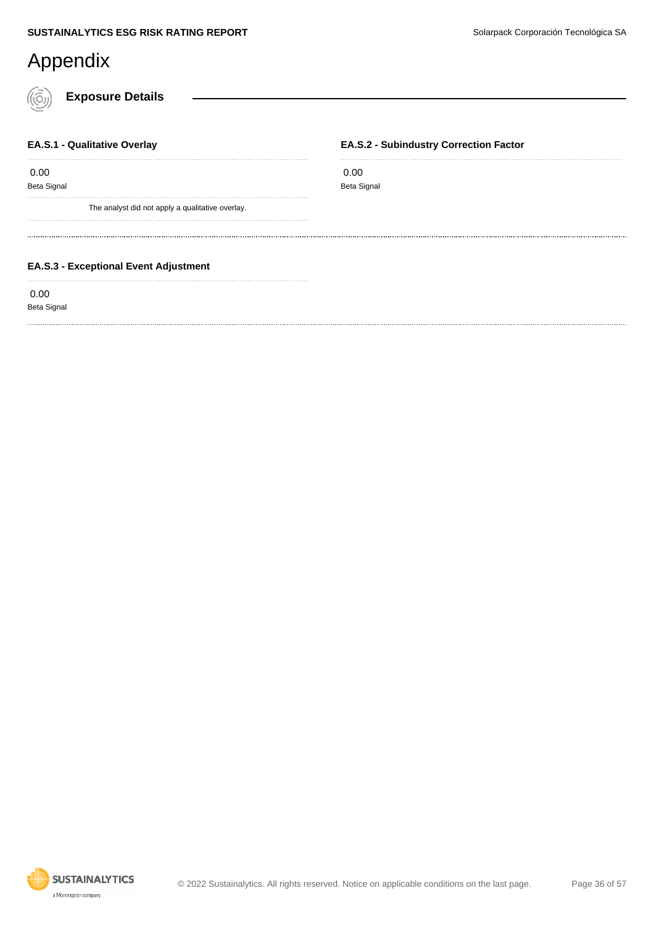### Appendix

**Exposure Details**

#### **EA.S.1 - Qualitative Overlay**

0.00

Beta Signal

The analyst did not apply a qualitative overlay.

#### **EA.S.2 - Subindustry Correction Factor**

 0.00 Beta Signal

#### **EA.S.3 - Exceptional Event Adjustment**

0.00

Beta Signal

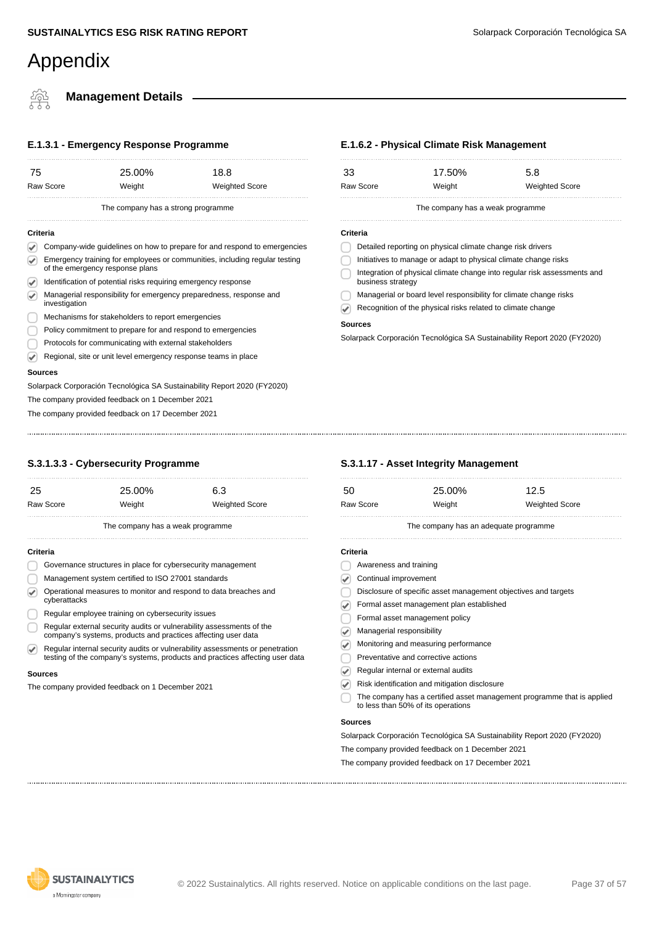**Management Details**

### **E.1.3.1 - Emergency Response Programme**

| 75                                 |                                                                                                               | 25.00% |  | 18.8                                                                     |
|------------------------------------|---------------------------------------------------------------------------------------------------------------|--------|--|--------------------------------------------------------------------------|
|                                    | Raw Score                                                                                                     | Weight |  | <b>Weighted Score</b>                                                    |
| The company has a strong programme |                                                                                                               |        |  |                                                                          |
| Criteria                           |                                                                                                               |        |  |                                                                          |
|                                    |                                                                                                               |        |  | Company-wide guidelines on how to prepare for and respond to emergencies |
|                                    | Emergency training for employees or communities, including regular testing<br>of the emergency response plans |        |  |                                                                          |
|                                    | Identification of potential risks requiring emergency response                                                |        |  |                                                                          |
|                                    | Managerial responsibility for emergency preparedness, response and<br>investigation                           |        |  |                                                                          |
|                                    | Mechanisms for stakeholders to report emergencies                                                             |        |  |                                                                          |
|                                    | Policy commitment to prepare for and respond to emergencies                                                   |        |  |                                                                          |
|                                    | Protocols for communicating with external stakeholders                                                        |        |  |                                                                          |
|                                    | Regional, site or unit level emergency response teams in place                                                |        |  |                                                                          |
| Sources                            |                                                                                                               |        |  |                                                                          |

Solarpack Corporación Tecnológica SA Sustainability Report 2020 (FY2020)

The company provided feedback on 1 December 2021

The company provided feedback on 17 December 2021

#### **E.1.6.2 - Physical Climate Risk Management**

| 33                | 17.50%                                                            | 5.8                                                                      |
|-------------------|-------------------------------------------------------------------|--------------------------------------------------------------------------|
| Raw Score         | Weight                                                            | <b>Weighted Score</b>                                                    |
|                   | The company has a weak programme                                  |                                                                          |
| Criteria          |                                                                   |                                                                          |
|                   | Detailed reporting on physical climate change risk drivers        |                                                                          |
|                   | Initiatives to manage or adapt to physical climate change risks   |                                                                          |
| business strategy |                                                                   | Integration of physical climate change into regular risk assessments and |
|                   | Managerial or board level responsibility for climate change risks |                                                                          |
|                   | Recognition of the physical risks related to climate change       |                                                                          |

#### **Sources**

Solarpack Corporación Tecnológica SA Sustainability Report 2020 (FY2020)

#### **S.3.1.3.3 - Cybersecurity Programme**

| 25                                               |                                                                                                                                       | 25.00%                           |  | 6.3                                                                                                                                                          |
|--------------------------------------------------|---------------------------------------------------------------------------------------------------------------------------------------|----------------------------------|--|--------------------------------------------------------------------------------------------------------------------------------------------------------------|
|                                                  | Raw Score                                                                                                                             | Weight                           |  | <b>Weighted Score</b>                                                                                                                                        |
|                                                  |                                                                                                                                       | The company has a weak programme |  |                                                                                                                                                              |
| Criteria                                         |                                                                                                                                       |                                  |  |                                                                                                                                                              |
|                                                  | Governance structures in place for cybersecurity management                                                                           |                                  |  |                                                                                                                                                              |
|                                                  | Management system certified to ISO 27001 standards                                                                                    |                                  |  |                                                                                                                                                              |
|                                                  | Operational measures to monitor and respond to data breaches and<br>cyberattacks                                                      |                                  |  |                                                                                                                                                              |
|                                                  | Regular employee training on cybersecurity issues                                                                                     |                                  |  |                                                                                                                                                              |
|                                                  | Regular external security audits or vulnerability assessments of the<br>company's systems, products and practices affecting user data |                                  |  |                                                                                                                                                              |
|                                                  |                                                                                                                                       |                                  |  | Regular internal security audits or vulnerability assessments or penetration<br>testing of the company's systems, products and practices affecting user data |
|                                                  | <b>Sources</b>                                                                                                                        |                                  |  |                                                                                                                                                              |
| The company provided feedback on 1 December 2021 |                                                                                                                                       |                                  |  |                                                                                                                                                              |
|                                                  |                                                                                                                                       |                                  |  |                                                                                                                                                              |
|                                                  |                                                                                                                                       |                                  |  |                                                                                                                                                              |
|                                                  |                                                                                                                                       |                                  |  |                                                                                                                                                              |

#### **S.3.1.17 - Asset Integrity Management**

| -50       | 25.00% | 12.5                  |
|-----------|--------|-----------------------|
| Raw Score | Weight | <b>Weighted Score</b> |
|           |        |                       |

The company has an adequate programme

#### **Criteria**

- Awareness and training
- Continual improvement
- Disclosure of specific asset management objectives and targets
- Formal asset management plan established
- Formal asset management policy
- **Managerial responsibility**
- Monitoring and measuring performance
- Preventative and corrective actions
- Regular internal or external audits
- Risk identification and mitigation disclosure  $\overline{\mathcal{L}}$
- The company has a certified asset management programme that is applied to less than 50% of its operations

#### **Sources**

Solarpack Corporación Tecnológica SA Sustainability Report 2020 (FY2020)

The company provided feedback on 1 December 2021

The company provided feedback on 17 December 2021

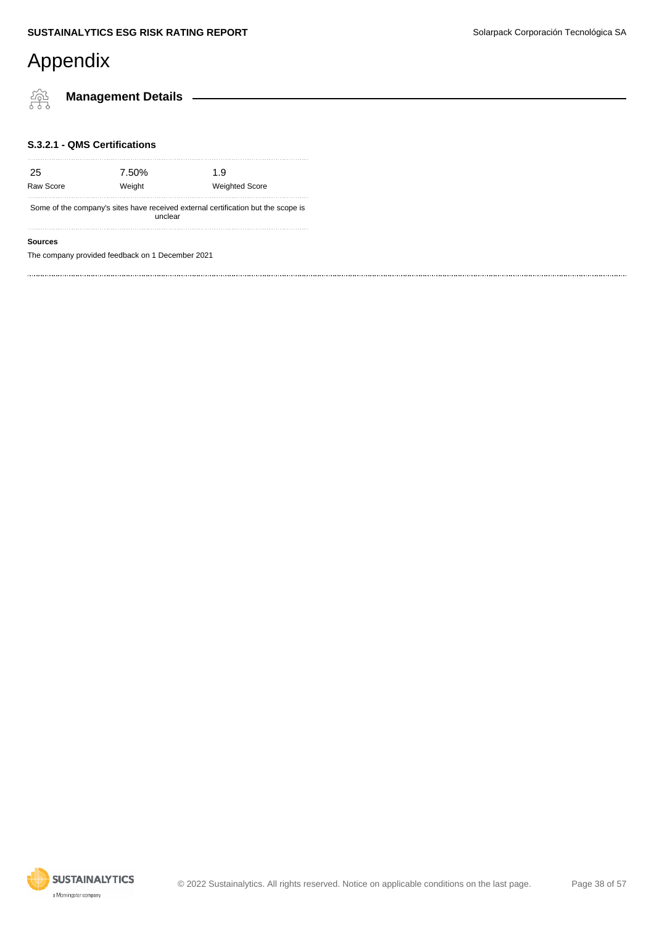橤

**Management Details**

#### **S.3.2.1 - QMS Certifications**

| -25       | 7.50%  | 1.9                   |
|-----------|--------|-----------------------|
| Raw Score | Weight | <b>Weighted Score</b> |
|           |        |                       |

Some of the company's sites have received external certification but the scope is unclear

#### **Sources**

The company provided feedback on 1 December 2021

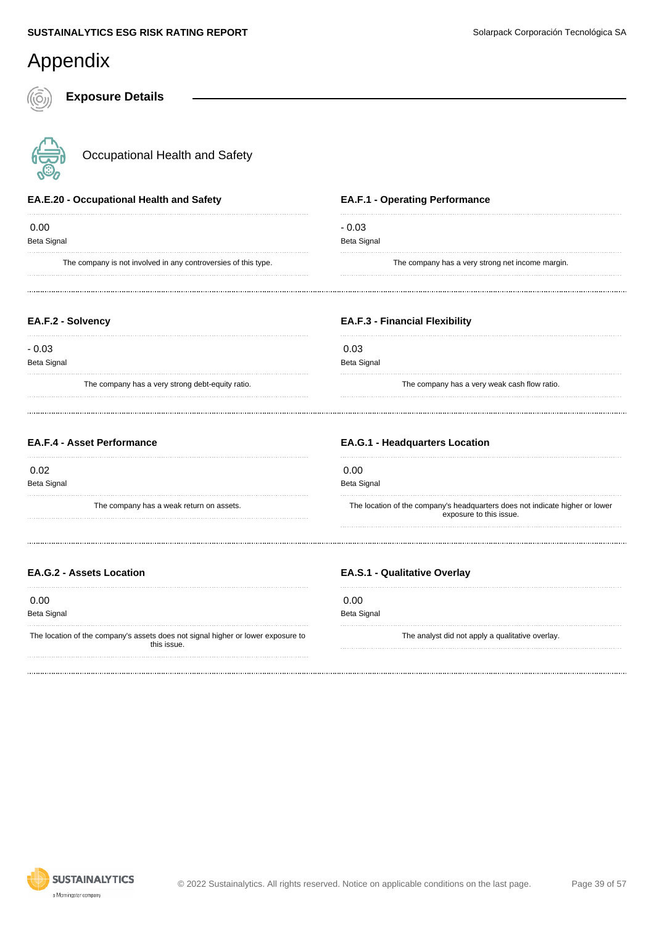**Exposure Details**



Occupational Health and Safety

#### **EA.E.20 - Occupational Health and Safety**

 0.00 Beta Signal

The company is not involved in any controversies of this type.

#### **EA.F.1 - Operating Performance**

- 0.03 Beta Signal

The company has a very strong net income margin.

#### **EA.F.2 - Solvency**

- 0.03 Beta Signal

The company has a very strong debt-equity ratio.

#### **EA.F.3 - Financial Flexibility**

 0.03 Beta Signal

The company has a very weak cash flow ratio.

#### **EA.F.4 - Asset Performance**

0.02

Beta Signal

The company has a weak return on assets.

#### **EA.G.1 - Headquarters Location**

0.00

Beta Signal

The location of the company's headquarters does not indicate higher or lower exposure to this issue.

#### **EA.G.2 - Assets Location**

0.00

Beta Signal

The location of the company's assets does not signal higher or lower exposure to this issue.

#### **EA.S.1 - Qualitative Overlay**

 0.00 Beta Signal

The analyst did not apply a qualitative overlay.



© 2022 Sustainalytics. All rights reserved. Notice on applicable conditions on the last page. Page 39 of 57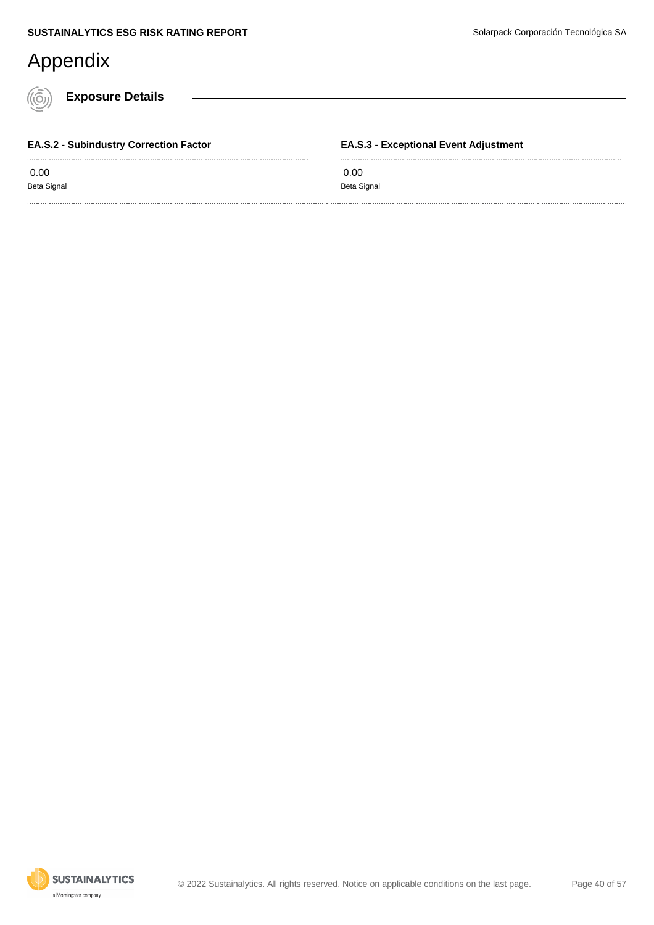**Exposure Details**

 0.00 Beta Signal

**EA.S.2 - Subindustry Correction Factor**

**EA.S.3 - Exceptional Event Adjustment**

 0.00 Beta Signal

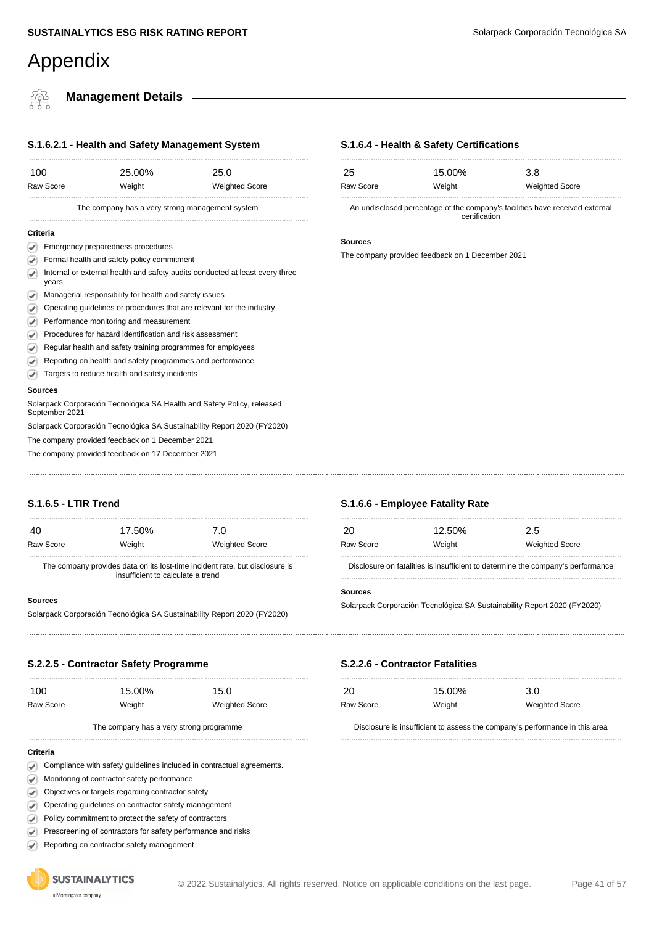#### **SUSTAINALYTICS ESG RISK RATING REPORT SUSTAINALYTICS ESG RISK RATING REPORT SUSTAINALYTICS** ESG RISK RATING REPORT

### Appendix

**Management Details**

| S.1.6.2.1 - Health and Safety Management System                            |                                                                                       |                                                 |                                                                         |
|----------------------------------------------------------------------------|---------------------------------------------------------------------------------------|-------------------------------------------------|-------------------------------------------------------------------------|
| 100                                                                        |                                                                                       | 25.00%                                          | 25.0                                                                    |
| <b>Raw Score</b><br>Weight                                                 |                                                                                       |                                                 | <b>Weighted Score</b>                                                   |
|                                                                            |                                                                                       | The company has a very strong management system |                                                                         |
|                                                                            | Criteria                                                                              |                                                 |                                                                         |
|                                                                            |                                                                                       | Emergency preparedness procedures               |                                                                         |
| ✓                                                                          |                                                                                       | Formal health and safety policy commitment      |                                                                         |
| ✔                                                                          | Internal or external health and safety audits conducted at least every three<br>years |                                                 |                                                                         |
| V                                                                          | Managerial responsibility for health and safety issues                                |                                                 |                                                                         |
| Operating guidelines or procedures that are relevant for the industry<br>V |                                                                                       |                                                 |                                                                         |
| V                                                                          | Performance monitoring and measurement                                                |                                                 |                                                                         |
| V                                                                          | Procedures for hazard identification and risk assessment                              |                                                 |                                                                         |
| V                                                                          | Regular health and safety training programmes for employees                           |                                                 |                                                                         |
| V                                                                          | Reporting on health and safety programmes and performance                             |                                                 |                                                                         |
|                                                                            | Targets to reduce health and safety incidents                                         |                                                 |                                                                         |
|                                                                            | <b>Sources</b>                                                                        |                                                 |                                                                         |
|                                                                            | September 2021                                                                        |                                                 | Solarpack Corporación Tecnológica SA Health and Safety Policy, released |

Solarpack Corporación Tecnológica SA Sustainability Report 2020 (FY2020)

The company provided feedback on 1 December 2021

The company provided feedback on 17 December 2021

#### **S.1.6.4 - Health & Safety Certifications**

| 25                                                                                            | 15.00% | 3.8                   |
|-----------------------------------------------------------------------------------------------|--------|-----------------------|
| Raw Score                                                                                     | Weight | <b>Weighted Score</b> |
| An undisclosed percentage of the company's facilities have received external<br>certification |        |                       |

**Sources**

The company provided feedback on 1 December 2021

#### **S.1.6.5 - LTIR Trend**

| 40                                                                                                               | 17.50% | 7.0                   |
|------------------------------------------------------------------------------------------------------------------|--------|-----------------------|
| Raw Score                                                                                                        | Weight | <b>Weighted Score</b> |
| The company provides data on its lost-time incident rate, but disclosure is<br>insufficient to calculate a trend |        |                       |

#### **Sources**

Solarpack Corporación Tecnológica SA Sustainability Report 2020 (FY2020)

#### **S.1.6.6 - Employee Fatality Rate**

**S.2.2.6 - Contractor Fatalities**

20 15.00% 3.0

Raw Score **Weight** Weight Weighted Score

Disclosure is insufficient to assess the company's performance in this area

| ンO        | 12.50% | 2.5                   |
|-----------|--------|-----------------------|
| Raw Score | Weight | <b>Weighted Score</b> |
|           |        |                       |

Disclosure on fatalities is insufficient to determine the company's performance

#### **Sources**

Solarpack Corporación Tecnológica SA Sustainability Report 2020 (FY2020)

#### **S.2.2.5 - Contractor Safety Programme**

| 100       | 15.00% | 15.0                  |
|-----------|--------|-----------------------|
| Raw Score | Weight | <b>Weighted Score</b> |
|           |        |                       |

The company has a very strong programme

#### **Criteria**

- Compliance with safety guidelines included in contractual agreements.
- Monitoring of contractor safety performance
- Objectives or targets regarding contractor safety
- Operating guidelines on contractor safety management
- Policy commitment to protect the safety of contractors
- Prescreening of contractors for safety performance and risks  $\varphi$
- Reporting on contractor safety management ☞

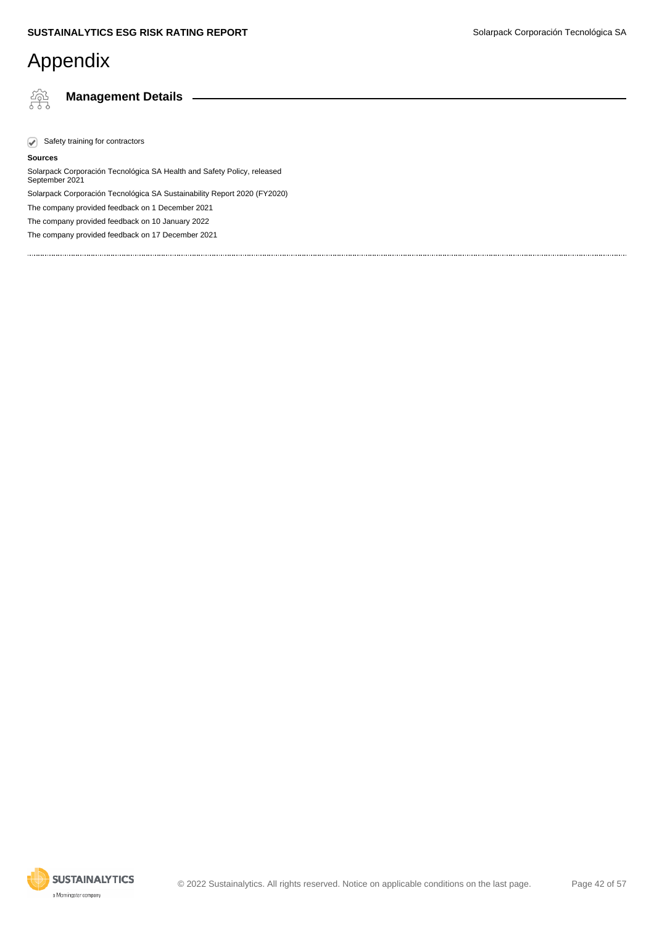繂

**Management Details**

 $\sqrt{\phantom{a}}$  Safety training for contractors

#### **Sources**

Solarpack Corporación Tecnológica SA Health and Safety Policy, released September 2021 Solarpack Corporación Tecnológica SA Sustainability Report 2020 (FY2020)

The company provided feedback on 1 December 2021

The company provided feedback on 10 January 2022

The company provided feedback on 17 December 2021

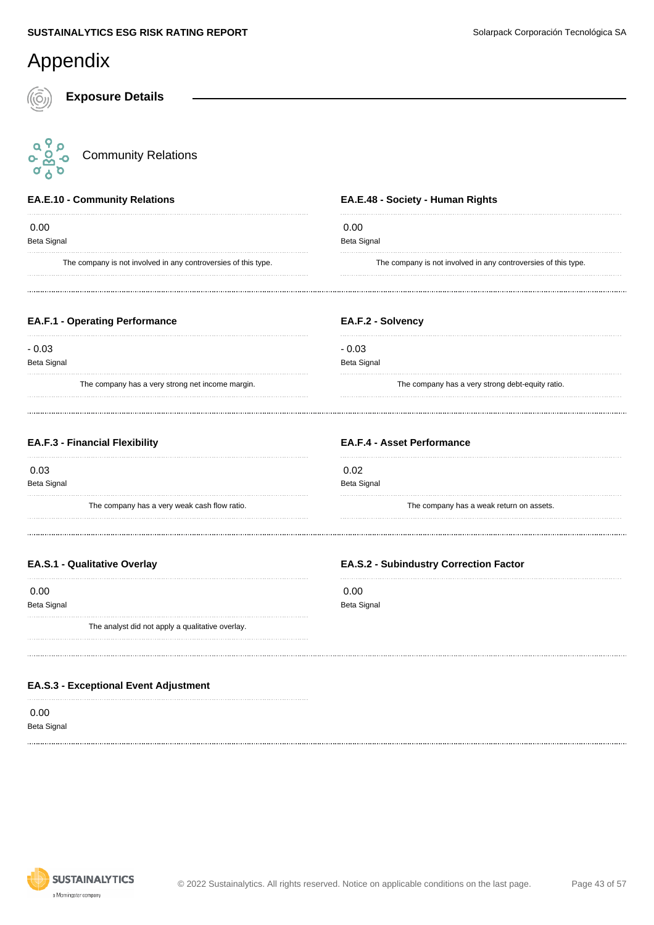#### Appendix **Exposure Details** a Po<br>o Boo<br>o A o Community Relations Ő **EA.E.10 - Community Relations EA.E.48 - Society - Human Rights** 0.00 0.00 Beta Signal Beta Signal The company is not involved in any controversies of this type. The company is not involved in any controversies of this type. **EA.F.1 - Operating Performance EA.F.2 - Solvency** - 0.03 - 0.03 Beta Signal Beta Signal The company has a very strong net income margin. The company has a very strong debt-equity ratio. **EA.F.3 - Financial Flexibility EA.F.4 - Asset Performance** 0.03 0.02 Beta Signal Beta Signal The company has a very weak cash flow ratio. The company has a weak return on assets. **EA.S.1 - Qualitative Overlay EA.S.2 - Subindustry Correction Factor**

 0.00 Beta Signal

The analyst did not apply a qualitative overlay.

#### **EA.S.3 - Exceptional Event Adjustment**

 0.00 Beta Signal



 0.00 Beta Signal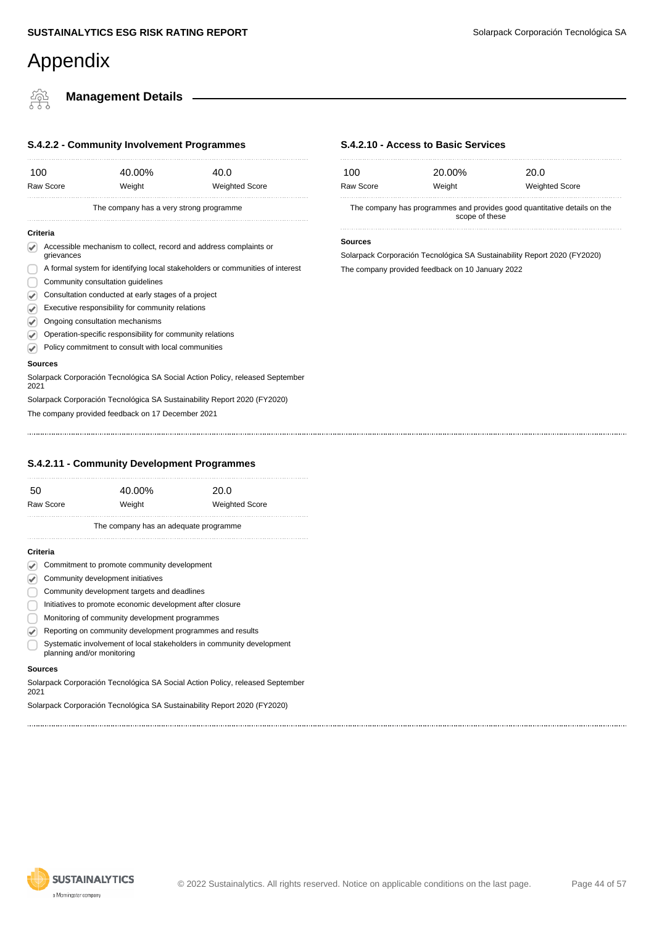#### **SUSTAINALYTICS ESG RISK RATING REPORT SUSTAINALYTICS ESG RISK RATING REPORT SUSTAINALYTICS** ESG RISK RATING REPORT

### Appendix

**Management Details** <u> 22</u>

### **S.4.2.2 - Community Involvement Programmes**

|                      |                                   | <u></u> community invertional regrammed                   |                                                                               |
|----------------------|-----------------------------------|-----------------------------------------------------------|-------------------------------------------------------------------------------|
| 100                  |                                   | 40.00%                                                    | 40.0                                                                          |
|                      | Raw Score                         | Weight                                                    | <b>Weighted Score</b>                                                         |
|                      |                                   | The company has a very strong programme                   |                                                                               |
| Criteria             |                                   |                                                           |                                                                               |
| V                    | grievances                        |                                                           | Accessible mechanism to collect, record and address complaints or             |
|                      |                                   |                                                           | A formal system for identifying local stakeholders or communities of interest |
|                      | Community consultation quidelines |                                                           |                                                                               |
| ☑                    |                                   | Consultation conducted at early stages of a project       |                                                                               |
| ✔                    |                                   | Executive responsibility for community relations          |                                                                               |
| ✔                    |                                   | Ongoing consultation mechanisms                           |                                                                               |
| $\blacktriangledown$ |                                   | Operation-specific responsibility for community relations |                                                                               |
| V                    |                                   | Policy commitment to consult with local communities       |                                                                               |
|                      | Sources                           |                                                           |                                                                               |
| 2021                 |                                   |                                                           | Solarpack Corporación Tecnológica SA Social Action Policy, released September |
|                      |                                   |                                                           | Solarpack Corporación Tecnológica SA Sustainability Report 2020 (FY2020)      |
|                      |                                   | The company provided feedback on 17 December 2021         |                                                                               |
|                      |                                   |                                                           |                                                                               |

#### **S.4.2.10 - Access to Basic Services**

| 100       | 20.00%                                                                                     | 20.0                  |
|-----------|--------------------------------------------------------------------------------------------|-----------------------|
| Raw Score | Weight                                                                                     | <b>Weighted Score</b> |
|           | The company has programmes and provides good quantitative details on the<br>scope of these |                       |

#### **Sources**

Solarpack Corporación Tecnológica SA Sustainability Report 2020 (FY2020) The company provided feedback on 10 January 2022

#### **S.4.2.11 - Community Development Programmes**

|           | The company has an adequate programme |      |
|-----------|---------------------------------------|------|
| Raw Score | Weight<br><b>Weighted Score</b>       |      |
| -50       | 40.00%                                | 20.0 |
|           |                                       |      |

#### **Criteria**

|  | ✓ | Commitment to promote community development |  |  |  |
|--|---|---------------------------------------------|--|--|--|
|--|---|---------------------------------------------|--|--|--|

- Community development initiatives
- Community development targets and deadlines
- Initiatives to promote economic development after closure
- Monitoring of community development programmes
- Reporting on community development programmes and results
- Systematic involvement of local stakeholders in community development planning and/or monitoring

#### **Sources**

Solarpack Corporación Tecnológica SA Social Action Policy, released September 2021

Solarpack Corporación Tecnológica SA Sustainability Report 2020 (FY2020)

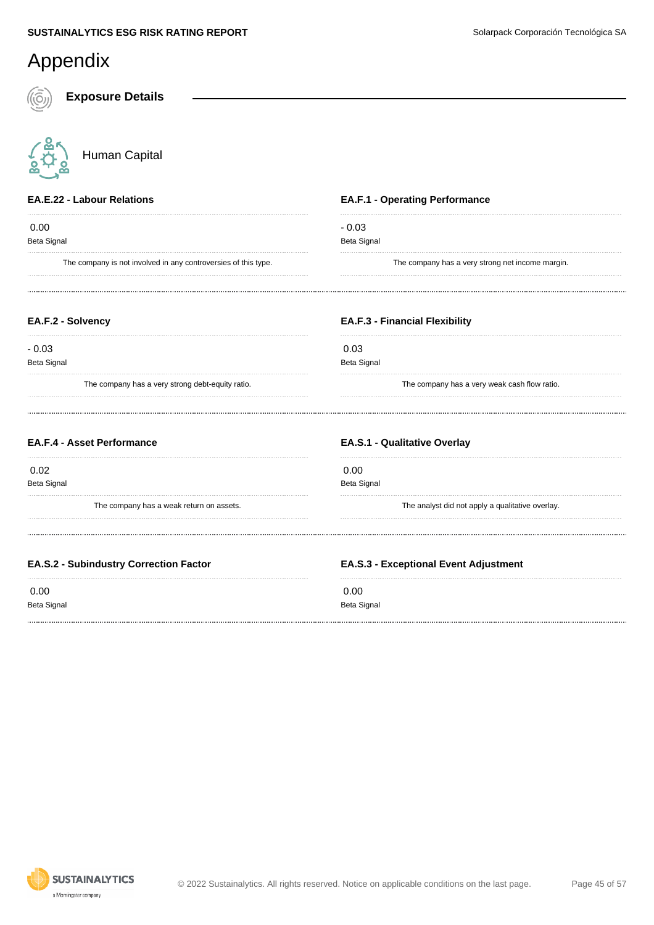**Annendix** 

| <i>i</i> pportum                                               |                                                  |
|----------------------------------------------------------------|--------------------------------------------------|
| <b>Exposure Details</b>                                        |                                                  |
| Human Capital                                                  |                                                  |
| <b>EA.E.22 - Labour Relations</b>                              | <b>EA.F.1 - Operating Performance</b>            |
| 0.00<br>Beta Signal                                            | $-0.03$<br><b>Beta Signal</b>                    |
| The company is not involved in any controversies of this type. | The company has a very strong net income margin. |
| EA.F.2 - Solvency                                              | <b>EA.F.3 - Financial Flexibility</b>            |
| $-0.03$<br>Beta Signal                                         | 0.03<br><b>Beta Signal</b>                       |
| The company has a very strong debt-equity ratio.               | The company has a very weak cash flow ratio.     |
| <b>EA.F.4 - Asset Performance</b>                              | <b>EA.S.1 - Qualitative Overlay</b>              |
| 0.02<br>Beta Signal                                            | 0.00<br><b>Beta Signal</b>                       |
| The company has a weak return on assets.                       | The analyst did not apply a qualitative overlay. |
| <b>EA.S.2 - Subindustry Correction Factor</b>                  | <b>EA.S.3 - Exceptional Event Adjustment</b>     |
| 0.00                                                           | 0.00                                             |



#### **SUSTAINALYTICS** a Morningstar company

Beta Signal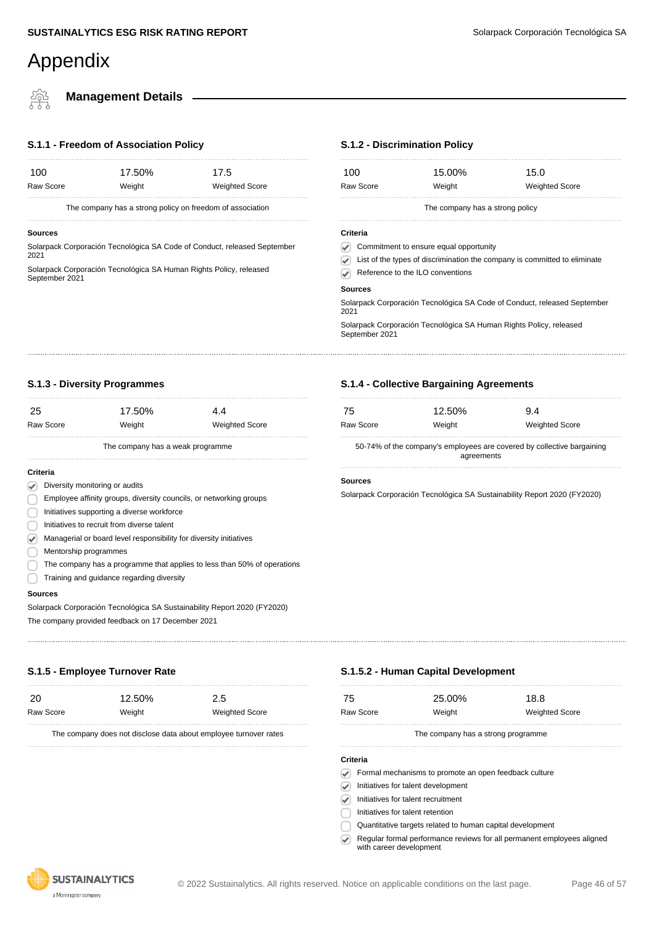#### **Management Details**

#### **S.1.1 - Freedom of Association Policy**

|           | The company has a strong policy on freedom of association |                       |  |
|-----------|-----------------------------------------------------------|-----------------------|--|
| Raw Score | Weight                                                    | <b>Weighted Score</b> |  |
| 100       | 17.50%                                                    | 17.5                  |  |

#### **Sources**

Solarpack Corporación Tecnológica SA Code of Conduct, released September 2021

Solarpack Corporación Tecnológica SA Human Rights Policy, released September 2021

#### **S.1.2 - Discrimination Policy**

| 100            | 15.00%                                                             | 15.0                                                                      |
|----------------|--------------------------------------------------------------------|---------------------------------------------------------------------------|
| Raw Score      | Weight                                                             | <b>Weighted Score</b>                                                     |
|                | The company has a strong policy                                    |                                                                           |
| Criteria       |                                                                    |                                                                           |
|                | Commitment to ensure equal opportunity                             |                                                                           |
|                |                                                                    | List of the types of discrimination the company is committed to eliminate |
|                | Reference to the ILO conventions                                   |                                                                           |
| <b>Sources</b> |                                                                    |                                                                           |
| 2021           |                                                                    | Solarpack Corporación Tecnológica SA Code of Conduct, released September  |
| September 2021 | Solarpack Corporación Tecnológica SA Human Rights Policy, released |                                                                           |

#### **S.1.3 - Diversity Programmes**

| 25              |                                                                    | 17.50%                                                                   | 4.4                   |
|-----------------|--------------------------------------------------------------------|--------------------------------------------------------------------------|-----------------------|
|                 | <b>Raw Score</b>                                                   | Weight                                                                   | <b>Weighted Score</b> |
|                 |                                                                    | The company has a weak programme                                         |                       |
| <b>Criteria</b> |                                                                    |                                                                          |                       |
|                 | Diversity monitoring or audits                                     |                                                                          |                       |
|                 | Employee affinity groups, diversity councils, or networking groups |                                                                          |                       |
|                 | Initiatives supporting a diverse workforce                         |                                                                          |                       |
|                 | Initiatives to recruit from diverse talent                         |                                                                          |                       |
|                 | Managerial or board level responsibility for diversity initiatives |                                                                          |                       |
|                 | Mentorship programmes                                              |                                                                          |                       |
|                 |                                                                    | The company has a programme that applies to less than 50% of operations  |                       |
|                 | Training and guidance regarding diversity                          |                                                                          |                       |
|                 | <b>Sources</b>                                                     |                                                                          |                       |
|                 |                                                                    | Solarpack Corporación Tecnológica SA Sustainability Report 2020 (FY2020) |                       |
|                 |                                                                    |                                                                          |                       |

# DOOROOOR

20 12.50% 2.5

Raw Score Weight Weight Weighted Score

The company does not disclose data about employee turnover rates

**S.1.5 - Employee Turnover Rate**

#### **Sources**

Solarpack Corporación Tecnológica SA Sustainability Report 2020 (FY2020) The company provided feedback on 17 December 2021

#### **S.1.5.2 - Human Capital Development**

| -75       | 25.00% | 18.8                  |
|-----------|--------|-----------------------|
| Raw Score | Weight | <b>Weighted Score</b> |
|           |        |                       |

The company has a strong programme

#### **Criteria**

Formal mechanisms to promote an open feedback culture

 $\sqrt{\phantom{a}}$  Initiatives for talent development

 $\odot$ Initiatives for talent recruitment

Initiatives for talent retention

Quantitative targets related to human capital development

Regular formal performance reviews for all permanent employees aligned  $\bigcirc$ with career development



#### **S.1.4 - Collective Bargaining Agreements**

| 75        | 12.50% | 9.4                   |
|-----------|--------|-----------------------|
| Raw Score | Weight | <b>Weighted Score</b> |
| ________  |        | . .<br>.              |

50-74% of the company's employees are covered by collective bargaining agreements

#### **Sources**

Solarpack Corporación Tecnológica SA Sustainability Report 2020 (FY2020)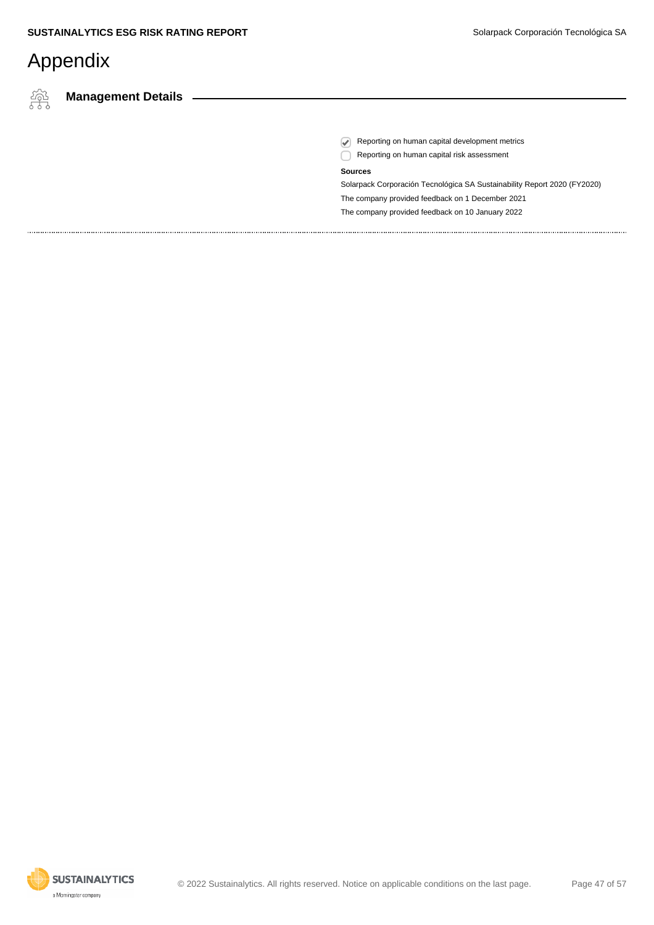橤

**Management Details**

Reporting on human capital development metrics

Reporting on human capital risk assessment

#### **Sources**

Solarpack Corporación Tecnológica SA Sustainability Report 2020 (FY2020) The company provided feedback on 1 December 2021 The company provided feedback on 10 January 2022

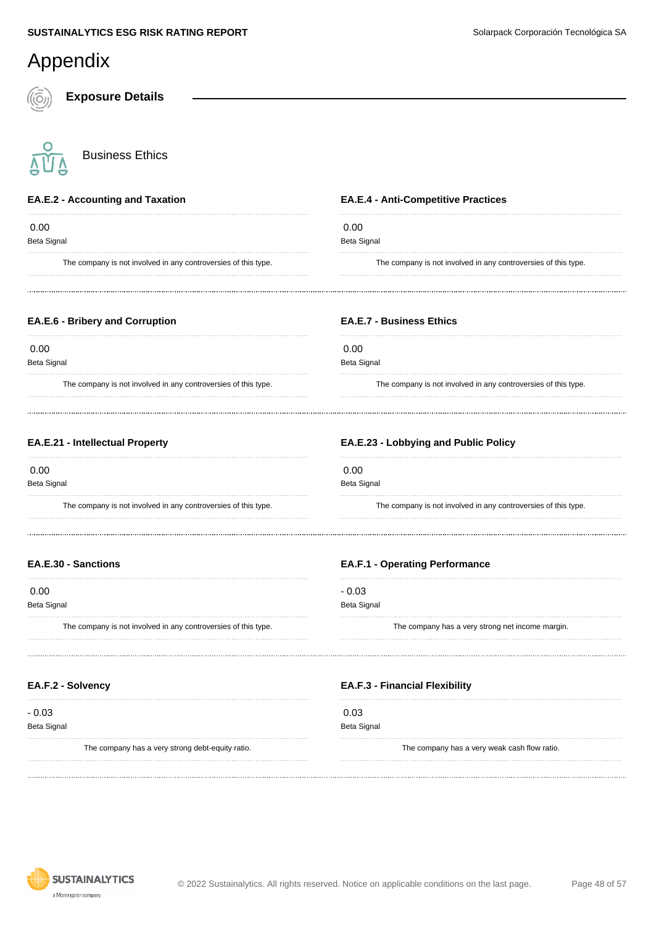| Appendix                                                       |                                                                |
|----------------------------------------------------------------|----------------------------------------------------------------|
| <b>Exposure Details</b>                                        |                                                                |
| <b>Business Ethics</b>                                         |                                                                |
| <b>EA.E.2 - Accounting and Taxation</b>                        | <b>EA.E.4 - Anti-Competitive Practices</b>                     |
| 0.00<br>Beta Signal                                            | 0.00<br><b>Beta Signal</b>                                     |
| The company is not involved in any controversies of this type. | The company is not involved in any controversies of this type. |
| EA.E.6 - Bribery and Corruption                                | <b>EA.E.7 - Business Ethics</b>                                |
| 0.00<br>Beta Signal                                            | 0.00<br><b>Beta Signal</b>                                     |
| The company is not involved in any controversies of this type. | The company is not involved in any controversies of this type. |
| EA.E.21 - Intellectual Property                                | EA.E.23 - Lobbying and Public Policy                           |
| 0.00<br>Beta Signal                                            | 0.00<br><b>Beta Signal</b>                                     |
| The company is not involved in any controversies of this type. | The company is not involved in any controversies of this type. |
| <b>EA.E.30 - Sanctions</b>                                     | <b>EA.F.1 - Operating Performance</b>                          |
| 0.00<br>Beta Signal                                            | $-0.03$<br><b>Beta Signal</b>                                  |
| The company is not involved in any controversies of this type. | The company has a very strong net income margin.               |
| EA.F.2 - Solvency                                              | <b>EA.F.3 - Financial Flexibility</b>                          |
| $-0.03$<br>Beta Signal                                         | 0.03<br><b>Beta Signal</b>                                     |
| The company has a very strong debt-equity ratio.               | The company has a very weak cash flow ratio.                   |

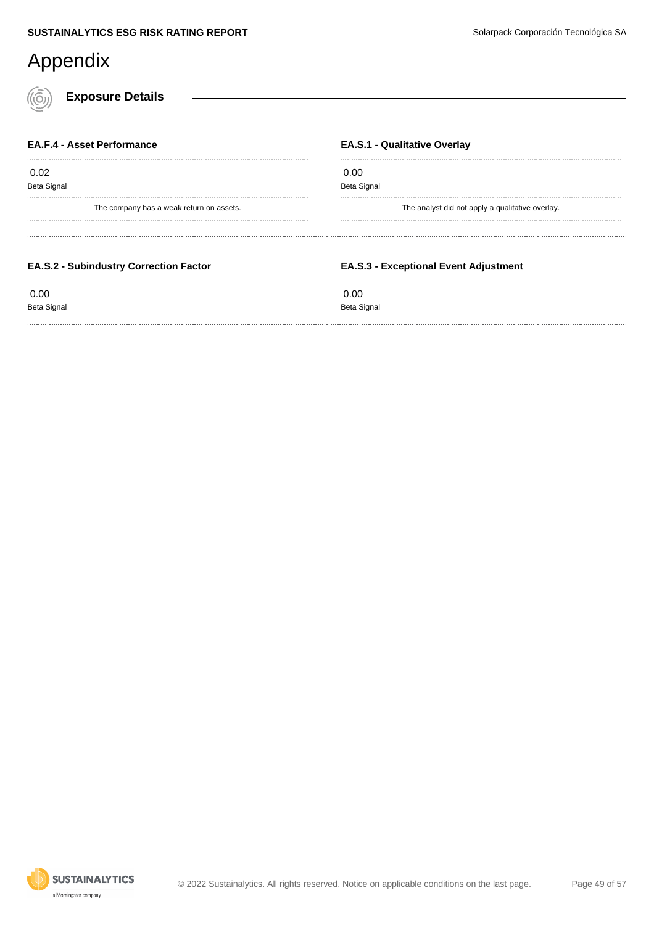**Exposure Details**

| <b>EA.F.4 - Asset Performance</b>             | <b>EA.S.1 - Qualitative Overlay</b>              |
|-----------------------------------------------|--------------------------------------------------|
| 0.02                                          | 0.00                                             |
| <b>Beta Signal</b>                            | Beta Signal                                      |
| The company has a weak return on assets.      | The analyst did not apply a qualitative overlay. |
| <b>EA.S.2 - Subindustry Correction Factor</b> | <b>EA.S.3 - Exceptional Event Adjustment</b>     |
|                                               |                                                  |

Beta Signal

### Beta Signal

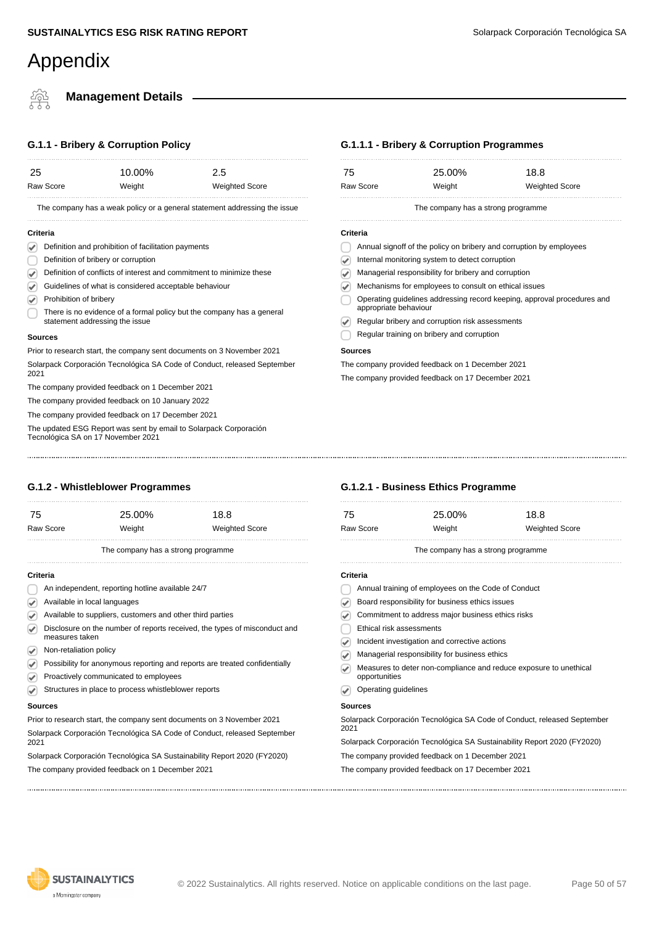#### **Management Details**

#### **G.1.1 - Bribery & Corruption Policy**

| 25   |                                                                      | 10.00% | 2.5                                                                       |
|------|----------------------------------------------------------------------|--------|---------------------------------------------------------------------------|
|      | <b>Raw Score</b>                                                     | Weight | <b>Weighted Score</b>                                                     |
|      |                                                                      |        | The company has a weak policy or a general statement addressing the issue |
|      | Criteria                                                             |        |                                                                           |
|      | Definition and prohibition of facilitation payments                  |        |                                                                           |
|      | Definition of bribery or corruption                                  |        |                                                                           |
|      | Definition of conflicts of interest and commitment to minimize these |        |                                                                           |
|      | Guidelines of what is considered acceptable behaviour                |        |                                                                           |
|      | Prohibition of bribery                                               |        |                                                                           |
|      | statement addressing the issue                                       |        | There is no evidence of a formal policy but the company has a general     |
|      | <b>Sources</b>                                                       |        |                                                                           |
|      |                                                                      |        | Prior to research start, the company sent documents on 3 November 2021    |
| 2021 |                                                                      |        | Solarpack Corporación Tecnológica SA Code of Conduct, released September  |
|      | The company provided feedback on 1 December 2021                     |        |                                                                           |

The company provided feedback on 10 January 2022 The company provided feedback on 17 December 2021

The updated ESG Report was sent by email to Solarpack Corporación Tecnológica SA on 17 November 2021

#### **G.1.2 - Whistleblower Programmes**

| 75       | Raw Score                                                 | 25.00%<br>Weight                   | 18.8<br><b>Weighted Score</b>                                              |
|----------|-----------------------------------------------------------|------------------------------------|----------------------------------------------------------------------------|
|          |                                                           | The company has a strong programme |                                                                            |
| Criteria |                                                           |                                    |                                                                            |
|          | An independent, reporting hotline available 24/7          |                                    |                                                                            |
|          | Available in local languages                              |                                    |                                                                            |
|          | Available to suppliers, customers and other third parties |                                    |                                                                            |
|          | measures taken                                            |                                    | Disclosure on the number of reports received, the types of misconduct and  |
|          | Non-retaliation policy                                    |                                    |                                                                            |
|          |                                                           |                                    | Possibility for anonymous reporting and reports are treated confidentially |

- Proactively communicated to employees
- Structures in place to process whistleblower reports  $\bigcirc$

#### **Sources**

Prior to research start, the company sent documents on 3 November 2021 Solarpack Corporación Tecnológica SA Code of Conduct, released September 2021

Solarpack Corporación Tecnológica SA Sustainability Report 2020 (FY2020) The company provided feedback on 1 December 2021

#### **G.1.1.1 - Bribery & Corruption Programmes**

|           | The company has a strong programme |                       |
|-----------|------------------------------------|-----------------------|
| Raw Score | Weight                             | <b>Weighted Score</b> |
| 75        | 25.00%                             | 18.8                  |
|           |                                    |                       |

#### **Criteria**

- Annual signoff of the policy on bribery and corruption by employees
- Internal monitoring system to detect corruption
- Managerial responsibility for bribery and corruption
- Mechanisms for employees to consult on ethical issues
- Operating guidelines addressing record keeping, approval procedures and appropriate behaviour
- Regular bribery and corruption risk assessments Ø
- Regular training on bribery and corruption

#### **Sources**

The company provided feedback on 1 December 2021

The company provided feedback on 17 December 2021

#### **G.1.2.1 - Business Ethics Programme**

| 75                                                  | 25.00%                                          | 18.8                  |  |  |
|-----------------------------------------------------|-------------------------------------------------|-----------------------|--|--|
| Raw Score                                           | Weight                                          | <b>Weighted Score</b> |  |  |
| The company has a strong programme                  |                                                 |                       |  |  |
| Criteria                                            |                                                 |                       |  |  |
| Annual training of employees on the Code of Conduct |                                                 |                       |  |  |
|                                                     | Board responsibility for business ethics issues |                       |  |  |
|                                                     |                                                 |                       |  |  |

- Commitment to address major business ethics risks
- Ethical risk assessments
- Incident investigation and corrective actions
- Managerial responsibility for business ethics
- Measures to deter non-compliance and reduce exposure to unethical  $\overline{\mathcal{P}}$ opportunities
- **Operating guidelines**

#### **Sources**

Solarpack Corporación Tecnológica SA Code of Conduct, released September 2021

Solarpack Corporación Tecnológica SA Sustainability Report 2020 (FY2020)

- The company provided feedback on 1 December 2021
- The company provided feedback on 17 December 2021

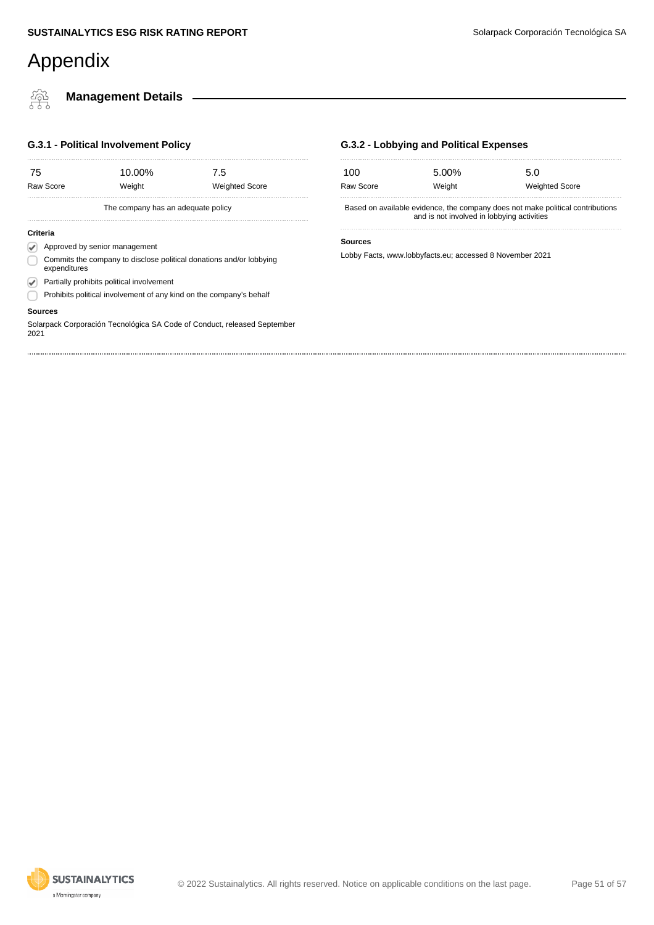橤

#### **Management Details**

#### **G.3.1 - Political Involvement Policy**

| 75      | Raw Score                                                                           | 10.00%<br>Weight                                                    | 7.5<br><b>Weighted Score</b> |  |  |  |
|---------|-------------------------------------------------------------------------------------|---------------------------------------------------------------------|------------------------------|--|--|--|
|         |                                                                                     | The company has an adequate policy                                  |                              |  |  |  |
|         | Criteria                                                                            |                                                                     |                              |  |  |  |
|         | Approved by senior management                                                       |                                                                     |                              |  |  |  |
|         | Commits the company to disclose political donations and/or lobbying<br>expenditures |                                                                     |                              |  |  |  |
|         | Partially prohibits political involvement                                           |                                                                     |                              |  |  |  |
|         |                                                                                     | Prohibits political involvement of any kind on the company's behalf |                              |  |  |  |
| Sources |                                                                                     |                                                                     |                              |  |  |  |

Solarpack Corporación Tecnológica SA Code of Conduct, released September 2021

#### **G.3.2 - Lobbying and Political Expenses**

| 100                                                                                                                          | 5.00%  | 5.0                   |  |  |
|------------------------------------------------------------------------------------------------------------------------------|--------|-----------------------|--|--|
| Raw Score                                                                                                                    | Weight | <b>Weighted Score</b> |  |  |
| Based on available evidence, the company does not make political contributions<br>and is not involved in lobbying activities |        |                       |  |  |

#### **Sources**

Lobby Facts, www.lobbyfacts.eu; accessed 8 November 2021

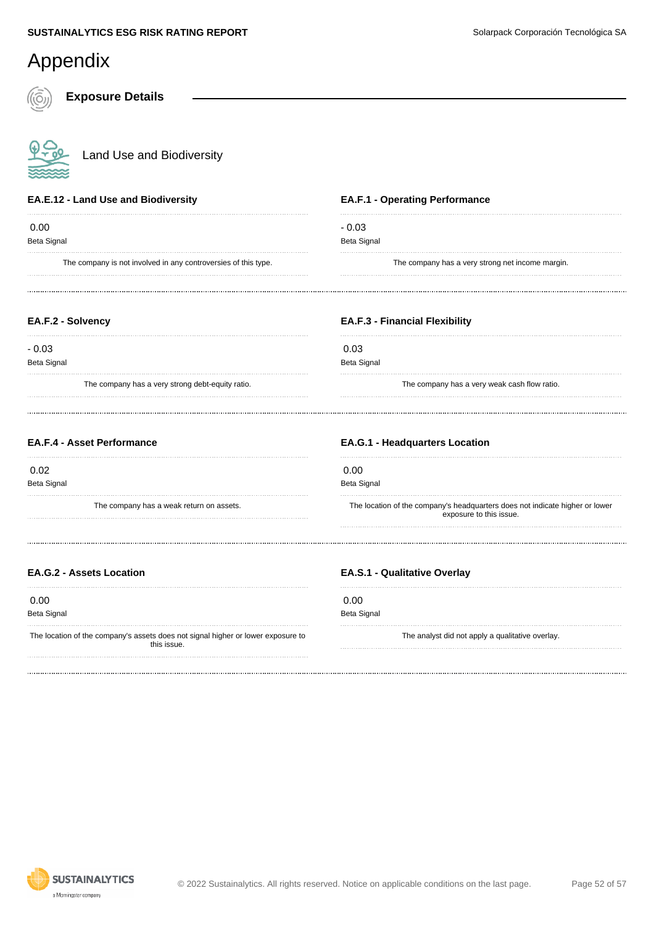#### Appendix **Exposure Details** Land Use and Biodiversity **EA.F.1 - Operating Performance EA.E.12 - Land Use and Biodiversity** 0.00 - 0.03 Beta Signal Beta Signal The company is not involved in any controversies of this type. The company has a very strong net income margin. **EA.F.2 - Solvency EA.F.3 - Financial Flexibility** - 0.03 0.03 Beta Signal Beta Signal The company has a very strong debt-equity ratio. The company has a very weak cash flow ratio. **EA.F.4 - Asset Performance EA.G.1 - Headquarters Location** 0.02 0.00 Beta Signal Beta Signal The company has a weak return on assets. The location of the company's headquarters does not indicate higher or lower exposure to this issue. **EA.G.2 - Assets Location EA.S.1 - Qualitative Overlay** 0.00 0.00 Beta Signal Beta Signal The location of the company's assets does not signal higher or lower exposure to The analyst did not apply a qualitative overlay. this issue.

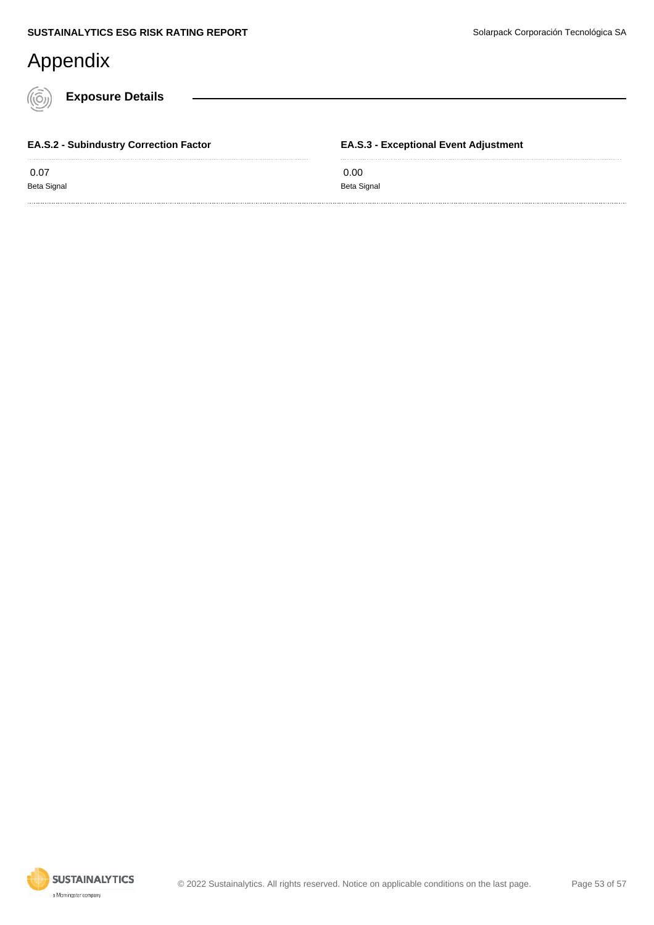**Exposure Details**

 0.07 Beta Signal

**EA.S.2 - Subindustry Correction Factor**

**EA.S.3 - Exceptional Event Adjustment**

 0.00 Beta Signal

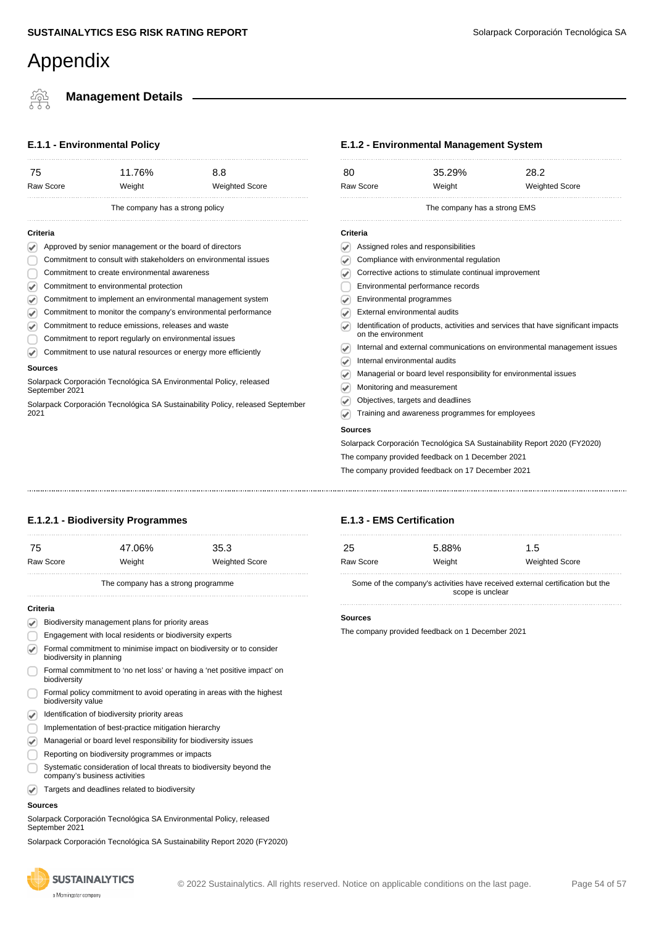### **Management Details**

#### **E.1.1 - Environmental Policy**

| 75                                                              | 11.76% | 8.8                                                           |  |  |  |
|-----------------------------------------------------------------|--------|---------------------------------------------------------------|--|--|--|
| Raw Score                                                       | Weight | <b>Weighted Score</b>                                         |  |  |  |
| The company has a strong policy                                 |        |                                                               |  |  |  |
| Criteria                                                        |        |                                                               |  |  |  |
| Approved by senior management or the board of directors         |        |                                                               |  |  |  |
| Commitment to consult with stakeholders on environmental issues |        |                                                               |  |  |  |
| Commitment to create environmental awareness                    |        |                                                               |  |  |  |
| Commitment to environmental protection                          |        |                                                               |  |  |  |
| Commitment to implement an environmental management system      |        |                                                               |  |  |  |
|                                                                 |        | Commitment to monitor the company's environmental performance |  |  |  |

- Commitment to monitor the company's environmental performance V.
- Commitment to reduce emissions, releases and waste ☞
- Commitment to report regularly on environmental issues
- Commitment to use natural resources or energy more efficiently  $\bigtriangledown$

#### **Sources**

Solarpack Corporación Tecnológica SA Environmental Policy, released September 2021

Solarpack Corporación Tecnológica SA Sustainability Policy, released September 2021

#### **E.1.2 - Environmental Management System**

| 80        |                                                       | 35.29%                                   | 28.2                                                                              |
|-----------|-------------------------------------------------------|------------------------------------------|-----------------------------------------------------------------------------------|
| Raw Score |                                                       | Weight                                   | <b>Weighted Score</b>                                                             |
|           |                                                       | The company has a strong EMS             |                                                                                   |
| Criteria  |                                                       |                                          |                                                                                   |
|           | Assigned roles and responsibilities                   |                                          |                                                                                   |
|           |                                                       | Compliance with environmental regulation |                                                                                   |
|           | Corrective actions to stimulate continual improvement |                                          |                                                                                   |
|           | Environmental performance records                     |                                          |                                                                                   |
|           | Environmental programmes                              |                                          |                                                                                   |
|           | External environmental audits                         |                                          |                                                                                   |
|           | on the environment                                    |                                          | Identification of products, activities and services that have significant impacts |
|           |                                                       |                                          | Internal and external communications on environmental management issues           |
| ✔         | Internal environmental audits                         |                                          |                                                                                   |
|           |                                                       |                                          |                                                                                   |
| ✔         |                                                       |                                          | Managerial or board level responsibility for environmental issues                 |
|           | Monitoring and measurement                            |                                          |                                                                                   |
|           | Objectives, targets and deadlines                     |                                          |                                                                                   |

Solarpack Corporación Tecnológica SA Sustainability Report 2020 (FY2020)

The company provided feedback on 1 December 2021

The company provided feedback on 17 December 2021

25 5.88% 1.5

Raw Score **Weight** Weight Weight Weighted Score

#### **E.1.2.1 - Biodiversity Programmes**

| 75       |                                                                                                 | 47.06%                                                                | 35.3                  |  |  |
|----------|-------------------------------------------------------------------------------------------------|-----------------------------------------------------------------------|-----------------------|--|--|
|          | Raw Score                                                                                       | Weight                                                                | <b>Weighted Score</b> |  |  |
|          |                                                                                                 | The company has a strong programme                                    |                       |  |  |
| Criteria |                                                                                                 |                                                                       |                       |  |  |
|          | Biodiversity management plans for priority areas                                                |                                                                       |                       |  |  |
|          | Engagement with local residents or biodiversity experts                                         |                                                                       |                       |  |  |
|          | Formal commitment to minimise impact on biodiversity or to consider<br>biodiversity in planning |                                                                       |                       |  |  |
|          | Formal commitment to 'no net loss' or having a 'net positive impact' on<br>biodiversity         |                                                                       |                       |  |  |
|          | biodiversity value                                                                              | Formal policy commitment to avoid operating in areas with the highest |                       |  |  |
|          | Identification of biodiversity priority areas                                                   |                                                                       |                       |  |  |

- **Implementation of best-practice mitigation hierarchy**
- Managerial or board level responsibility for biodiversity issues
- Reporting on biodiversity programmes or impacts
- Systematic consideration of local threats to biodiversity beyond the
- company's business activities Targets and deadlines related to biodiversity  $\overline{\mathcal{L}}$

#### **Sources**

Solarpack Corporación Tecnológica SA Environmental Policy, released September 2021

Solarpack Corporación Tecnológica SA Sustainability Report 2020 (FY2020)



#### © 2022 Sustainalytics. All rights reserved. Notice on applicable conditions on the last page. Page 54 of 57

**E.1.3 - EMS Certification**

Some of the company's activities have received external certification but the scope is unclear

#### **Sources**

The company provided feedback on 1 December 2021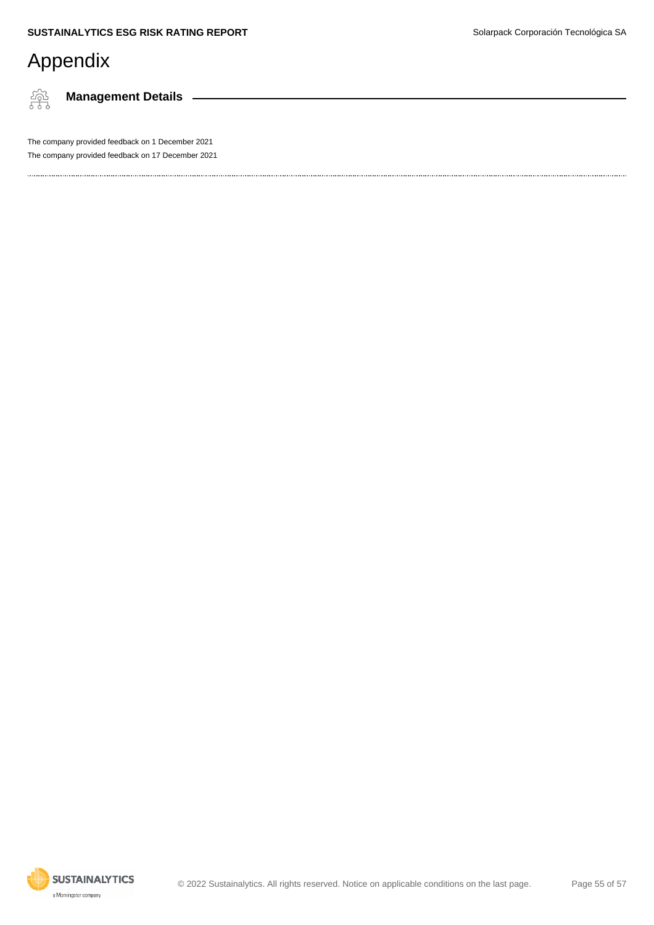繂

**Management Details**

The company provided feedback on 1 December 2021 The company provided feedback on 17 December 2021

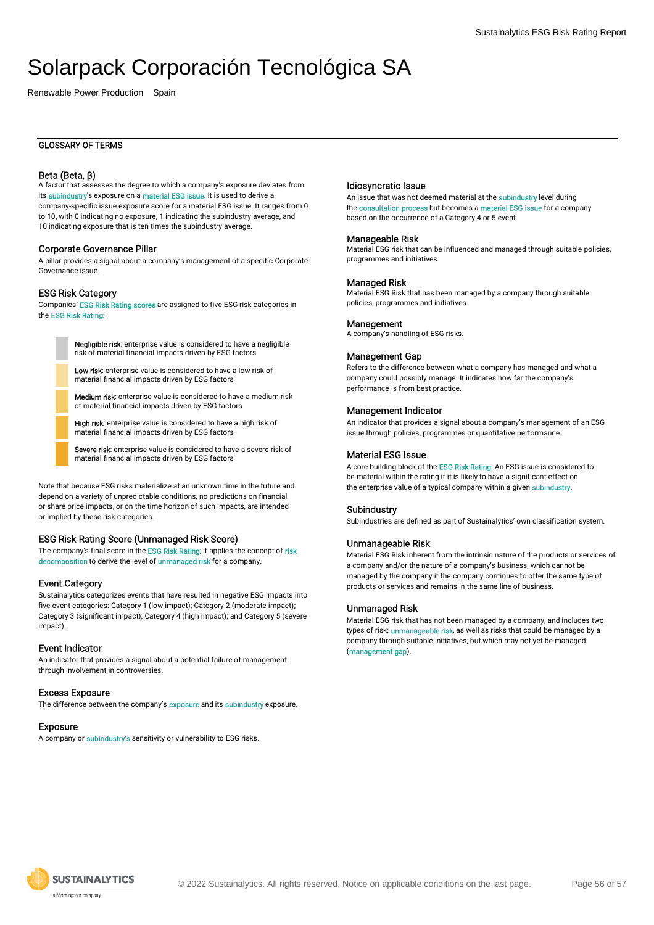Renewable Power Production Spain

#### GLOSSARY OF TERMS

#### Beta (Beta, β)

A factor that assesses the degree to which a company's exposure deviates from its subindustry's exposure on a material ESG issue. It is used to derive a company-specific issue exposure score for a material ESG issue. It ranges from 0 to 10, with 0 indicating no exposure, 1 indicating the subindustry average, and 10 indicating exposure that is ten times the subindustry average.

#### Corporate Governance Pillar

A pillar provides a signal about a company's management of a specific Corporate Governance issue.

#### ESG Risk Category

Companies' ESG Risk Rating scores are assigned to five ESG risk categories in the ESG Risk Rating:

> Negligible risk: enterprise value is considered to have a negligible risk of material financial impacts driven by ESG factors

Low risk: enterprise value is considered to have a low risk of material financial impacts driven by ESG factors

Medium risk: enterprise value is considered to have a medium risk of material financial impacts driven by ESG factors

High risk: enterprise value is considered to have a high risk of material financial impacts driven by ESG factors

Severe risk: enterprise value is considered to have a severe risk of material financial impacts driven by ESG factors

Note that because ESG risks materialize at an unknown time in the future and depend on a variety of unpredictable conditions, no predictions on financial or share price impacts, or on the time horizon of such impacts, are intended or implied by these risk categories.

#### ESG Risk Rating Score (Unmanaged Risk Score)

The company's final score in the ESG Risk Rating; it applies the concept of risk decomposition to derive the level of unmanaged risk for a company.

#### Event Category

Sustainalytics categorizes events that have resulted in negative ESG impacts into five event categories: Category 1 (low impact); Category 2 (moderate impact); Category 3 (significant impact); Category 4 (high impact); and Category 5 (severe impact).

#### Event Indicator

An indicator that provides a signal about a potential failure of management through involvement in controversies.

#### Excess Exposure

The difference between the company's **exposure** and its **subindustry** exposure.

#### Exposure

A company or subindustry's sensitivity or vulnerability to ESG risks.

#### Idiosyncratic Issue

An issue that was not deemed material at the subindustry level during the consultation process but becomes a material ESG issue for a company based on the occurrence of a Category 4 or 5 event.

#### Manageable Risk

Material ESG risk that can be influenced and managed through suitable policies, programmes and initiatives.

#### Managed Risk

Material ESG Risk that has been managed by a company through suitable policies, programmes and initiatives.

#### **Management**

A company's handling of ESG risks.

#### Management Gap

Refers to the difference between what a company has managed and what a company could possibly manage. It indicates how far the company's performance is from best practice.

#### Management Indicator

An indicator that provides a signal about a company's management of an ESG issue through policies, programmes or quantitative performance.

#### Material ESG Issue

A core building block of the ESG Risk Rating. An ESG issue is considered to be material within the rating if it is likely to have a significant effect on the enterprise value of a typical company within a given subindustry.

#### Subindustry

Subindustries are defined as part of Sustainalytics' own classification system.

#### Unmanageable Risk

Material ESG Risk inherent from the intrinsic nature of the products or services of a company and/or the nature of a company's business, which cannot be managed by the company if the company continues to offer the same type of products or services and remains in the same line of business.

#### Unmanaged Risk

Material ESG risk that has not been managed by a company, and includes two types of risk: **unmanageable risk**, as well as risks that could be managed by a company through suitable initiatives, but which may not yet be managed (management gap).